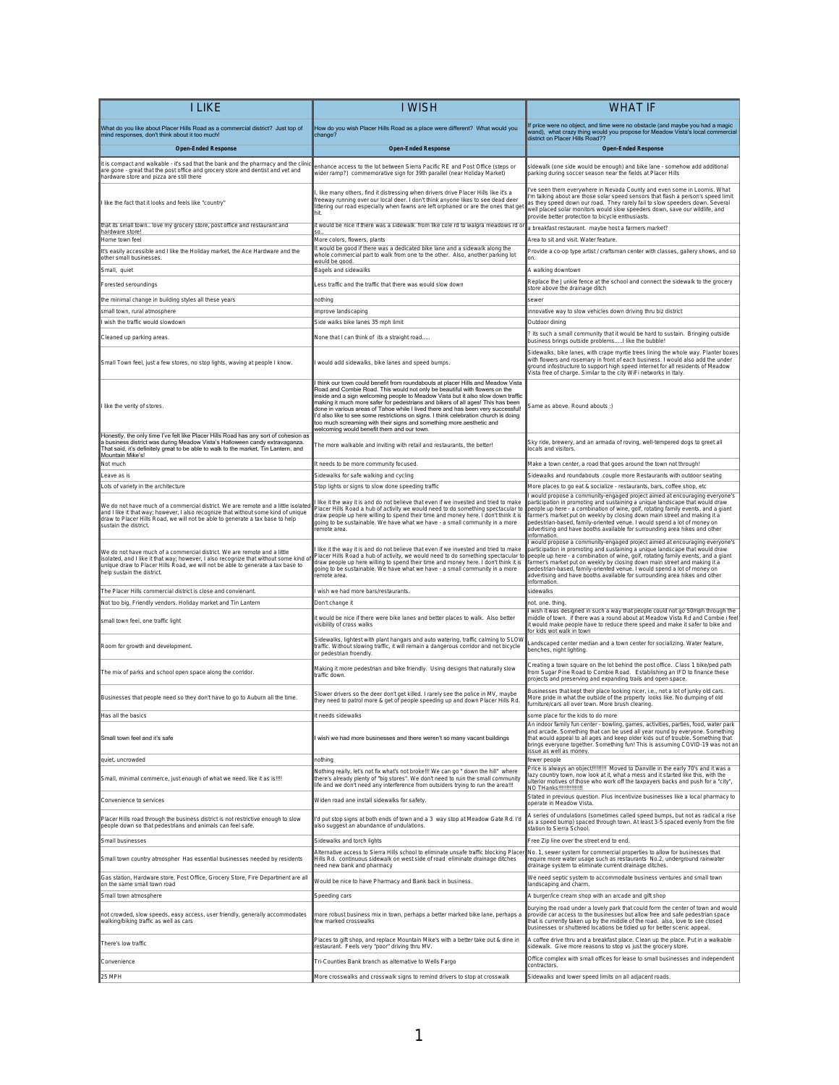| <b>I LIKE</b>                                                                                                                                                                                                                                                                     | <b>I WISH</b>                                                                                                                                                                                                                                                                                                                                                                                                                                                                                                                                       | <b>WHAT IF</b>                                                                                                                                                                                                                                                                                                                                                                                                                                                                                      |
|-----------------------------------------------------------------------------------------------------------------------------------------------------------------------------------------------------------------------------------------------------------------------------------|-----------------------------------------------------------------------------------------------------------------------------------------------------------------------------------------------------------------------------------------------------------------------------------------------------------------------------------------------------------------------------------------------------------------------------------------------------------------------------------------------------------------------------------------------------|-----------------------------------------------------------------------------------------------------------------------------------------------------------------------------------------------------------------------------------------------------------------------------------------------------------------------------------------------------------------------------------------------------------------------------------------------------------------------------------------------------|
| What do you like about Placer Hills Road as a commercial district? Just top of                                                                                                                                                                                                    | How do you wish Placer Hills Road as a place were different? What would you                                                                                                                                                                                                                                                                                                                                                                                                                                                                         | If price were no object, and time were no obstacle (and maybe you had a magic                                                                                                                                                                                                                                                                                                                                                                                                                       |
| mind responses, don't think about it too much!<br><b>Open-Ended Response</b>                                                                                                                                                                                                      | change?<br><b>Open-Ended Response</b>                                                                                                                                                                                                                                                                                                                                                                                                                                                                                                               | wand), what crazy thing would you propose for Meadow Vista's local commercial<br>district on Placer Hills Road??                                                                                                                                                                                                                                                                                                                                                                                    |
| it is compact and walkable - it's sad that the bank and the pharmacy and the clinic                                                                                                                                                                                               |                                                                                                                                                                                                                                                                                                                                                                                                                                                                                                                                                     | <b>Open-Ended Response</b>                                                                                                                                                                                                                                                                                                                                                                                                                                                                          |
| are gone - great that the post office and grocery store and dentist and vet and<br>hardware store and pizza are still there                                                                                                                                                       | enhance access to the lot between Sierra Pacific RE and Post Office (steps or<br>wider ramp?) commemorative sign for 39th parallel (near Holiday Market)                                                                                                                                                                                                                                                                                                                                                                                            | sidewalk (one side would be enough) and bike lane - somehow add additional<br>parking during soccer season near the fields at Placer Hills                                                                                                                                                                                                                                                                                                                                                          |
| I like the fact that it looks and feels like "country"                                                                                                                                                                                                                            | like many others, find it distressing when drivers drive Placer Hills like it's a<br>reeway running over our local deer. I don't think anyone likes to see dead deer<br>littering our road especially when fawns are left orphaned or are the ones that get<br>hit.                                                                                                                                                                                                                                                                                 | 've seen them everywhere in Nevada County and even some in Loomis. What<br>'m talking about are those solar speed sensors that flash a person's speed limit<br>as they speed down our road. They rarely fail to slow speeders down. Several<br>well placed solar monitors would slow speeders down, save our wildlife, and<br>provide better protection to bicycle enthusiasts.                                                                                                                     |
| that its small town love my grocery store, post office and restaurant and<br>hardware store!                                                                                                                                                                                      | it would be nice if there was a sidewalk from like cole rd to walgra meadows rd o                                                                                                                                                                                                                                                                                                                                                                                                                                                                   | a breakfast restaurant. maybe host a farmers market?                                                                                                                                                                                                                                                                                                                                                                                                                                                |
| Home town feel<br>It's easily accessible and I like the Holiday market, the Ace Hardware and the                                                                                                                                                                                  | More colors, flowers, plants<br>It would be good if there was a dedicated bike lane and a sidewalk along the                                                                                                                                                                                                                                                                                                                                                                                                                                        | Area to sit and visit. Water feature.                                                                                                                                                                                                                                                                                                                                                                                                                                                               |
| other small businesses.                                                                                                                                                                                                                                                           | whole commercial part to walk from one to the other. Also, another parking lot<br>would be good                                                                                                                                                                                                                                                                                                                                                                                                                                                     | Provide a co-op type artist / craftsman center with classes, gallery shows, and so<br>on.                                                                                                                                                                                                                                                                                                                                                                                                           |
| Small, quiet                                                                                                                                                                                                                                                                      | Bagels and sidewalks                                                                                                                                                                                                                                                                                                                                                                                                                                                                                                                                | A walking downtown<br>Replace the Junkie fence at the school and connect the sidewalk to the grocery                                                                                                                                                                                                                                                                                                                                                                                                |
| Forested seroundings                                                                                                                                                                                                                                                              | Less traffic and the traffic that there was would slow down                                                                                                                                                                                                                                                                                                                                                                                                                                                                                         | store above the drainage ditch                                                                                                                                                                                                                                                                                                                                                                                                                                                                      |
| the minimal change in building styles all these years<br>small town, rural atmosphere                                                                                                                                                                                             | nothing<br>mprove landscaping                                                                                                                                                                                                                                                                                                                                                                                                                                                                                                                       | sewer<br>innovative way to slow vehicles down driving thru biz district                                                                                                                                                                                                                                                                                                                                                                                                                             |
| wish the traffic would slowdown                                                                                                                                                                                                                                                   | Side walks bike lanes 35 mph limit                                                                                                                                                                                                                                                                                                                                                                                                                                                                                                                  | Outdoor dining                                                                                                                                                                                                                                                                                                                                                                                                                                                                                      |
| Cleaned up parking areas.                                                                                                                                                                                                                                                         | None that I can think of its a straight road                                                                                                                                                                                                                                                                                                                                                                                                                                                                                                        | ? its such a small community that it would be hard to sustain. Bringing outside<br>business brings outside problemsI like the bubble!                                                                                                                                                                                                                                                                                                                                                               |
| Small Town feel, just a few stores, no stop lights, waving at people I know.                                                                                                                                                                                                      | would add sidewalks, bike lanes and speed bumps.                                                                                                                                                                                                                                                                                                                                                                                                                                                                                                    | Sidewalks, bike lanes, with crape myrtle trees lining the whole way. Planter boxes<br>with flowers and rosemary in front of each business. I would also add the under<br>ground infostructure to support high speed internet for all residents of Meadow                                                                                                                                                                                                                                            |
|                                                                                                                                                                                                                                                                                   | I think our town could benefit from roundabouts at placer Hills and Meadow Vista                                                                                                                                                                                                                                                                                                                                                                                                                                                                    | Vista free of charge. Similar to the city WiFi networks in Italy.                                                                                                                                                                                                                                                                                                                                                                                                                                   |
| I like the verity of stores.                                                                                                                                                                                                                                                      | Road and Combie Road. This would not only be beautiful with flowers on the<br>inside and a sign welcoming people to Meadow Vista but it also slow down traffic<br>making it much more safer for pedestrians and bikers of all ages! This has been<br>done in various areas of Tahoe while I lived there and has been very successful!<br>I'd also like to see some restrictions on signs. I think celebration church is doing<br>too much screaming with their signs and something more aesthetic and<br>welcoming would benefit them and our town. | Same as above. Round abouts :)                                                                                                                                                                                                                                                                                                                                                                                                                                                                      |
| Honestly, the only time I've felt like Placer Hills Road has any sort of cohesion as<br>a business district was during Meadow Vista's Halloween candy extravaganza.<br>That said, it's definitely great to be able to walk to the market, Tin Lantern, and<br>Mountain Mike's!    | The more walkable and inviting with retail and restaurants, the better!                                                                                                                                                                                                                                                                                                                                                                                                                                                                             | Sky ride, brewery, and an armada of roving, well-tempered dogs to greet all<br>locals and visitors.                                                                                                                                                                                                                                                                                                                                                                                                 |
| Not much                                                                                                                                                                                                                                                                          | It needs to be more community focused.                                                                                                                                                                                                                                                                                                                                                                                                                                                                                                              | Make a town center, a road that goes around the town not through!                                                                                                                                                                                                                                                                                                                                                                                                                                   |
| Leave as is                                                                                                                                                                                                                                                                       | Sidewalks for safe walking and cycling<br>Stop lights or signs to slow done speeding traffic                                                                                                                                                                                                                                                                                                                                                                                                                                                        | Sidewalks and roundabouts .couple more Restaurants with outdoor seating<br>More places to go eat & socialize - restaurants, bars, coffee shop, etc                                                                                                                                                                                                                                                                                                                                                  |
| Lots of variety in the architecture                                                                                                                                                                                                                                               |                                                                                                                                                                                                                                                                                                                                                                                                                                                                                                                                                     | would propose a community-engaged project aimed at encouraging everyone's                                                                                                                                                                                                                                                                                                                                                                                                                           |
| We do not have much of a commercial district. We are remote and a little isolated<br>and I like it that way; however, I also recognize that without some kind of unique<br>draw to Placer Hills Road, we will not be able to generate a tax base to help<br>sustain the district. | like it the way it is and do not believe that even if we invested and tried to make<br>lacer Hills Road a hub of activity we would need to do something spectacular to<br>fraw people up here willing to spend their time and money here. I don't think it is<br>going to be sustainable. We have what we have - a small community in a more<br>emote area                                                                                                                                                                                          | participation in promoting and sustaining a unique landscape that would draw<br>people up here - a combination of wine, golf, rotating family events, and a giant<br>farmer's market put on weekly by closing down main street and making it a<br>pedestrian-based, family-oriented venue. I would spend a lot of money on<br>advertising and have booths available for surrounding area hikes and other<br>information.                                                                            |
| We do not have much of a commercial district. We are remote and a little<br>solated, and I like it that way; however, I also recognize that without some kind o<br>inique draw to Placer Hills Road, we will not be able to generate a tax base to<br>help sustain the district.  | like it the way it is and do not believe that even if we invested and tried to make<br>Placer Hills Road a hub of activity, we would need to do something spectacular to<br>fraw people up here willing to spend their time and money here. I don't think it is<br>going to be sustainable. We have what we have - a small community in a more<br>remote area.                                                                                                                                                                                      | would propose a community-engaged project aimed at encouraging everyone's<br>participation in promoting and sustaining a unique landscape that would draw<br>people up here - a combination of wine, golf, rotating family events, and a giant<br>farmer's market put on weekly by closing down main street and making it a<br>pedestrian-based, family-oriented venue. I would spend a lot of money on<br>advertising and have booths available for surrounding area hikes and other<br>nformation |
| The Placer Hills commercial district is close and convienant.                                                                                                                                                                                                                     | wish we had more bars/restaurants.                                                                                                                                                                                                                                                                                                                                                                                                                                                                                                                  | sidewalks                                                                                                                                                                                                                                                                                                                                                                                                                                                                                           |
| Not too big. Friendly vendors. Holiday market and Tin Lantern                                                                                                                                                                                                                     | Don't change it                                                                                                                                                                                                                                                                                                                                                                                                                                                                                                                                     | not. one. thing<br>wish it was designed in such a way that people could not go 50mph through the                                                                                                                                                                                                                                                                                                                                                                                                    |
| small town feel, one traffic light                                                                                                                                                                                                                                                | t would be nice if there were bike lanes and better places to walk. Also better<br>visibility of cross walks                                                                                                                                                                                                                                                                                                                                                                                                                                        | middle of town. If there was a round about at Meadow Vista Rd and Combie i fee<br>it would make people have to reduce there speed and make it safer to bike and<br>or kids wot walk in town                                                                                                                                                                                                                                                                                                         |
| Room for growth and development.                                                                                                                                                                                                                                                  | Sidewalks, lightest with plant hangars and auto watering, traffic calming to SLOW<br>traffic. Without slowing traffic, it will remain a dangerous corridor and not bicycle<br>or pedestrian froendly.                                                                                                                                                                                                                                                                                                                                               | Landscaped center median and a town center for socializing. Water feature,<br>benches, night lighting.                                                                                                                                                                                                                                                                                                                                                                                              |
| The mix of parks and school open space along the corridor.                                                                                                                                                                                                                        | Making it more pedestrian and bike friendly. Using designs that naturally slow<br>traffic down                                                                                                                                                                                                                                                                                                                                                                                                                                                      | Creating a town square on the lot behind the post office. Class 1 bike/ped path<br>from Sugar Pine Road to Combie Road. Establishing an IFD to finance these<br>projects and preserving and expanding trails and open space.                                                                                                                                                                                                                                                                        |
| Businesses that people need so they don't have to go to Auburn all the time.                                                                                                                                                                                                      | Slower drivers so the deer don't get killed. I rarely see the police in MV, maybe<br>hey need to patrol more & get of people speeding up and down Placer Hills Rd.                                                                                                                                                                                                                                                                                                                                                                                  | Businesses that kept their place looking nicer, i.e., not a lot of junky old cars.<br>More pride in what the outside of the property looks like. No dumping of old<br>furniture/cars all over town. More brush clearing.                                                                                                                                                                                                                                                                            |
| Has all the basics                                                                                                                                                                                                                                                                | t needs sidewalks                                                                                                                                                                                                                                                                                                                                                                                                                                                                                                                                   | some place for the kids to do more<br>An indoor family fun center - bowling, games, activities, parties, food, water park                                                                                                                                                                                                                                                                                                                                                                           |
| Small town feel and it's safe                                                                                                                                                                                                                                                     | wish we had more businesses and there weren't so many vacant buildings                                                                                                                                                                                                                                                                                                                                                                                                                                                                              | and arcade. Something that can be used all year round by everyone. Something<br>that would appeal to all ages and keep older kids out of trouble. Something that<br>brings everyone together. Something fun! This is assuming COVID-19 was not an<br>issue as well as money.                                                                                                                                                                                                                        |
| quiet, uncrowded                                                                                                                                                                                                                                                                  | nothing<br>Nothing really, let's not fix what's not broke!!! We can go " down the hill" where                                                                                                                                                                                                                                                                                                                                                                                                                                                       | fewer people<br>Price is always an object !!!!!!!!!! Moved to Danville in the early 70's and it was a                                                                                                                                                                                                                                                                                                                                                                                               |
| Small, minimal commerce, just enough of what we need. like it as is!!!!                                                                                                                                                                                                           | there's already plenty of "big stores". We don't need to ruin the small community<br>life and we don't need any interference from outsiders trying to run the area !!!                                                                                                                                                                                                                                                                                                                                                                              | lazy country town, now look at it, what a mess and it started like this, with the<br>ulterior motives of those who work off the taxpayers backs and push for a "city",<br>NO THanks!!!!!!!!!!!!!!!                                                                                                                                                                                                                                                                                                  |
| Convenience to services                                                                                                                                                                                                                                                           | Widen road ane install sidewalks for safety                                                                                                                                                                                                                                                                                                                                                                                                                                                                                                         | Stated in previous question. Plus incentivize businesses like a local pharmacy to<br>operate in Meadow Vista                                                                                                                                                                                                                                                                                                                                                                                        |
| Placer Hills road through the business district is not restrictive enough to slow<br>people down so that pedestrians and animals can feel safe.                                                                                                                                   | I'd put stop signs at both ends of town and a 3 way stop at Meadow Gate Rd. I'd<br>also suggest an abundance of undulations.                                                                                                                                                                                                                                                                                                                                                                                                                        | A series of undulations (sometimes called speed bumps, but not as radical a rise<br>as a speed bump) spaced through town. At least 3-5 spaced evenly from the fire<br>station to Sierra School.                                                                                                                                                                                                                                                                                                     |
| Small businesses                                                                                                                                                                                                                                                                  | Sidewalks and torch lights                                                                                                                                                                                                                                                                                                                                                                                                                                                                                                                          | Free Zip line over the street end to end.                                                                                                                                                                                                                                                                                                                                                                                                                                                           |
| Small town country atmospher Has essential businesses needed by residents                                                                                                                                                                                                         | Alternative access to Sierra Hills school to eliminate unsafe traffic blocking Place<br>Hills Rd. continuous sidewalk on west side of road eliminate drainage ditches<br>heed new bank and pharmacy                                                                                                                                                                                                                                                                                                                                                 | No. 1, sewer system for commercial properties to allow for businesses that<br>require more water usage such as restaurants No.2, underground rainwater<br>drainage system to eliminate current drainage ditches.                                                                                                                                                                                                                                                                                    |
| Gas station, Hardware store, Post Office, Grocery Store, Fire Department are all<br>on the same small town road                                                                                                                                                                   | Would be nice to have Pharmacy and Bank back in business.                                                                                                                                                                                                                                                                                                                                                                                                                                                                                           | We need septic system to accommodate business ventures and small town<br>landscaping and charm.                                                                                                                                                                                                                                                                                                                                                                                                     |
| Small town atmosphere                                                                                                                                                                                                                                                             | Speeding cars                                                                                                                                                                                                                                                                                                                                                                                                                                                                                                                                       | A burger/ice cream shop with an arcade and gift shop                                                                                                                                                                                                                                                                                                                                                                                                                                                |
| not crowded, slow speeds, easy access, user friendly, generally accommodates<br>walking/biking traffic as well as cars                                                                                                                                                            | nore robust business mix in town, perhaps a better marked bike lane, perhaps a<br>few marked crosswalks                                                                                                                                                                                                                                                                                                                                                                                                                                             | burying the road under a lovely park that could form the center of town and would<br>provide car access to the businesses but allow free and safe pedestrian space<br>that is currently taken up by the middle of the road. also, love to see closed<br>businesses or shuttered locations be tidied up for better scenic appeal.                                                                                                                                                                    |
| There's low traffic                                                                                                                                                                                                                                                               | Places to gift shop, and replace Mountain Mike's with a better take out & dine in<br>restaurant. Feels very "poor" driving thru MV.                                                                                                                                                                                                                                                                                                                                                                                                                 | A coffee drive thru and a breakfast place. Clean up the place. Put in a walkable<br>sidewalk. Give more reasons to stop vs just the grocery store.                                                                                                                                                                                                                                                                                                                                                  |
| Convenience                                                                                                                                                                                                                                                                       | Tri-Counties Bank branch as alternative to Wells Fargo                                                                                                                                                                                                                                                                                                                                                                                                                                                                                              | Office complex with small offices for lease to small businesses and independent<br>contractors.                                                                                                                                                                                                                                                                                                                                                                                                     |
| 25 MPH                                                                                                                                                                                                                                                                            | More crosswalks and crosswalk signs to remind drivers to stop at crosswalk                                                                                                                                                                                                                                                                                                                                                                                                                                                                          | Sidewalks and lower speed limits on all adjacent roads.                                                                                                                                                                                                                                                                                                                                                                                                                                             |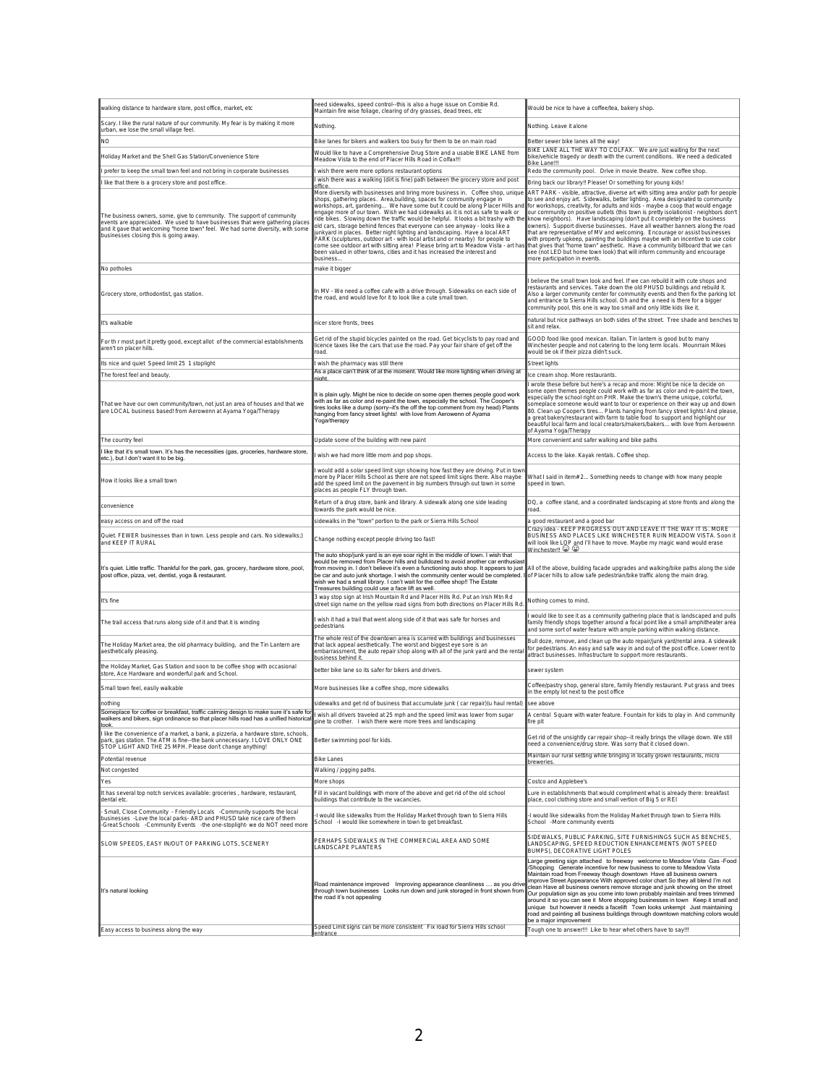| walking distance to hardware store, post office, market, etc                                                                                                                                                                                                                       | need sidewalks, speed control--this is also a huge issue on Combie Rd.<br>Maintain fire wise foliage, clearing of dry grasses, dead trees, etc                                                                                                                                                                                                                                                                                                                                                                                                                                                                                                                                                                                                                                                                                                   | Would be nice to have a coffee/tea, bakery shop                                                                                                                                                                                                                                                                                                                                                                                                                                                                                                                                                                                                                                                                                                                                                                                                                                     |
|------------------------------------------------------------------------------------------------------------------------------------------------------------------------------------------------------------------------------------------------------------------------------------|--------------------------------------------------------------------------------------------------------------------------------------------------------------------------------------------------------------------------------------------------------------------------------------------------------------------------------------------------------------------------------------------------------------------------------------------------------------------------------------------------------------------------------------------------------------------------------------------------------------------------------------------------------------------------------------------------------------------------------------------------------------------------------------------------------------------------------------------------|-------------------------------------------------------------------------------------------------------------------------------------------------------------------------------------------------------------------------------------------------------------------------------------------------------------------------------------------------------------------------------------------------------------------------------------------------------------------------------------------------------------------------------------------------------------------------------------------------------------------------------------------------------------------------------------------------------------------------------------------------------------------------------------------------------------------------------------------------------------------------------------|
| Scary. I like the rural nature of our community. My fear is by making it more<br>urban, we lose the small village feel.                                                                                                                                                            | Nothing.                                                                                                                                                                                                                                                                                                                                                                                                                                                                                                                                                                                                                                                                                                                                                                                                                                         | Nothing. Leave it alone                                                                                                                                                                                                                                                                                                                                                                                                                                                                                                                                                                                                                                                                                                                                                                                                                                                             |
| NO.                                                                                                                                                                                                                                                                                | Bike lanes for bikers and walkers too busy for them to be on main road                                                                                                                                                                                                                                                                                                                                                                                                                                                                                                                                                                                                                                                                                                                                                                           | Better sewer bike lanes all the way!                                                                                                                                                                                                                                                                                                                                                                                                                                                                                                                                                                                                                                                                                                                                                                                                                                                |
| Holiday Market and the Shell Gas Station/Convenience Store                                                                                                                                                                                                                         | Would like to have a Comprehensive Drug Store and a usable BIKE LANE from<br>Meadow Vista to the end of Placer Hills Road in Colfax !!!                                                                                                                                                                                                                                                                                                                                                                                                                                                                                                                                                                                                                                                                                                          | BIKE LANE ALL THE WAY TO COLFAX. We are just waiting for the next<br>bike/vehicle tragedy or death with the current conditions. We need a dedicated<br>Bike Lane!!!                                                                                                                                                                                                                                                                                                                                                                                                                                                                                                                                                                                                                                                                                                                 |
| prefer to keep the small town feel and not bring in corporate businesses                                                                                                                                                                                                           | wish there were more options restaurant options                                                                                                                                                                                                                                                                                                                                                                                                                                                                                                                                                                                                                                                                                                                                                                                                  | Redo the community pool. Drive in movie theatre. New coffee shop.                                                                                                                                                                                                                                                                                                                                                                                                                                                                                                                                                                                                                                                                                                                                                                                                                   |
| I like that there is a grocery store and post office                                                                                                                                                                                                                               | wish there was a walking (dirt is fine) path between the grocery store and post<br>office                                                                                                                                                                                                                                                                                                                                                                                                                                                                                                                                                                                                                                                                                                                                                        | Bring back our library!! Please! Or something for young kids!                                                                                                                                                                                                                                                                                                                                                                                                                                                                                                                                                                                                                                                                                                                                                                                                                       |
| The business owners, some, give to community. The support of community<br>events are appreciated. We used to have businesses that were gathering places<br>and it gave that welcoming "home town" feel. We had some diversity, with some<br>businesses closing this is going away. | More diversity with businesses and bring more business in. Coffee shop, unique<br>shops, gathering places. Area, building, spaces for community engage in<br>workshops, art, gardening We have some but it could be along Placer Hills and<br>engage more of our town. Wish we had sidewalks as it is not as safe to walk or<br>ide bikes. Slowing down the traffic would be helpful. It looks a bit trashy with the<br>old cars, storage behind fences that everyone can see anyway - looks like a<br>unkyard in places. Better night lighting and landscaping. Have a local ART<br>ARK (sculptures, outdoor art - with local artist and or nearby) for people to<br>come see outdoor art with sitting area! Please bring art to Meadow Vista - art hat<br>been valued in other towns, cities and it has increased the interest and<br>business | ART PARK - visible, attractive, diverse art with sitting area and/or path for people<br>to see and enjoy art. Sidewalks, better lighting. Area designated to community<br>for workshops, creativity, for adults and kids - maybe a coop that would engage<br>our community on positive outlets (this town is pretty isolationist - neighbors don't<br>know neighbors). Have landscaping (don't put it completely on the business<br>owners). Support diverse businesses. Have all weather banners along the road<br>that are representative of MV and welcoming. Encourage or assist businesses<br>with property upkeep, painting the buildings maybe with an incentive to use color<br>that gives that "home town" aesthetic. Have a community billboard that we can<br>see (not LED but home town look) that will inform community and encourage<br>more participation in events. |
| No potholes                                                                                                                                                                                                                                                                        | nake it bigger                                                                                                                                                                                                                                                                                                                                                                                                                                                                                                                                                                                                                                                                                                                                                                                                                                   |                                                                                                                                                                                                                                                                                                                                                                                                                                                                                                                                                                                                                                                                                                                                                                                                                                                                                     |
| Grocery store, orthodontist, gas station.                                                                                                                                                                                                                                          | n MV - We need a coffee cafe with a drive through. Sidewalks on each side of<br>the road, and would love for it to look like a cute small town.                                                                                                                                                                                                                                                                                                                                                                                                                                                                                                                                                                                                                                                                                                  | believe the small town look and feel. If we can rebuild it with cute shops and<br>estaurants and services. Take down the old PHUSD buildings and rebuild it.<br>Also a larger community center for community events and then fix the parking lot<br>and entrance to Sierra Hills school. Oh and the a need is there for a bigger<br>community pool, this one is way too small and only little kids like it.                                                                                                                                                                                                                                                                                                                                                                                                                                                                         |
| It's walkable                                                                                                                                                                                                                                                                      | nicer store fronts, trees                                                                                                                                                                                                                                                                                                                                                                                                                                                                                                                                                                                                                                                                                                                                                                                                                        | natural but nice pathways on both sides of the street. Tree shade and benches to<br>sit and relax.                                                                                                                                                                                                                                                                                                                                                                                                                                                                                                                                                                                                                                                                                                                                                                                  |
| For th r most part it pretty good, except allot of the commercial establishments<br>aren't on placer hills.                                                                                                                                                                        | Get rid of the stupid bicycles painted on the road. Get bicyclists to pay road and<br>icence taxes like the cars that use the road. Pay your fair share of get off the<br>oad.                                                                                                                                                                                                                                                                                                                                                                                                                                                                                                                                                                                                                                                                   | GOOD food like good mexican. Italian. Tin lantern is good but to many<br>Winchester people and not catering to the long term locals. Mounrrain Mikes<br>would be ok if their pizza didn't suck.                                                                                                                                                                                                                                                                                                                                                                                                                                                                                                                                                                                                                                                                                     |
| Its nice and quiet Speed limit 25 1 stoplight                                                                                                                                                                                                                                      | wish the pharmacy was still there                                                                                                                                                                                                                                                                                                                                                                                                                                                                                                                                                                                                                                                                                                                                                                                                                | Street lights                                                                                                                                                                                                                                                                                                                                                                                                                                                                                                                                                                                                                                                                                                                                                                                                                                                                       |
| The forest feel and beauty                                                                                                                                                                                                                                                         | As a place can't think of at the moment. Would like more lighting when driving at<br>niaht.                                                                                                                                                                                                                                                                                                                                                                                                                                                                                                                                                                                                                                                                                                                                                      | ice cream shop. More restaurants.<br>wrote these before but here's a recap and more: Might be nice to decide on                                                                                                                                                                                                                                                                                                                                                                                                                                                                                                                                                                                                                                                                                                                                                                     |
| That we have our own community/town, not just an area of houses and that we<br>are LOCAL business based! from Aerowenn at Ayama Yoga/Therapy                                                                                                                                       | It is plain ugly. Might be nice to decide on some open themes people good work<br>with as far as color and re-paint the town, especially the school. The Cooper's<br>ires looks like a dump (sorry-it's the off the top comment from my head) Plants<br>nanging from fancy street lights! with love from Aerowenn of Ayama<br>Yoga/therapy                                                                                                                                                                                                                                                                                                                                                                                                                                                                                                       | some open themes people could work with as far as color and re-paint the town,<br>especially the school right on PHR. Make the town's theme unique, colorful,<br>someplace someone would want to tour or experience on their way up and down<br>30. Clean up Cooper's tires Plants hanging from fancy street lights! And please<br>a great bakery/restaurant with farm to table food to support and highlight our<br>beautiful local farm and local creators/makers/bakers with love from Aerowenn<br>of Ayama Yoga/Therapy                                                                                                                                                                                                                                                                                                                                                         |
| The country feel                                                                                                                                                                                                                                                                   | Update some of the building with new paint                                                                                                                                                                                                                                                                                                                                                                                                                                                                                                                                                                                                                                                                                                                                                                                                       | More convenient and safer walking and bike paths                                                                                                                                                                                                                                                                                                                                                                                                                                                                                                                                                                                                                                                                                                                                                                                                                                    |
| I like that it's small town. It's has the necessities (gas, groceries, hardware store,<br>etc.), but I don't want it to be big.                                                                                                                                                    | wish we had more little mom and pop shops.                                                                                                                                                                                                                                                                                                                                                                                                                                                                                                                                                                                                                                                                                                                                                                                                       | Access to the lake. Kayak rentals. Coffee shop.                                                                                                                                                                                                                                                                                                                                                                                                                                                                                                                                                                                                                                                                                                                                                                                                                                     |
| How it looks like a small town                                                                                                                                                                                                                                                     | would add a solar speed limit sign showing how fast they are driving. Put in town<br>nore by Placer Hills School as there are not speed limit signs there. Also maybe<br>add the speed limit on the pavement in big numbers through out town in some<br>places as people FLY through town.                                                                                                                                                                                                                                                                                                                                                                                                                                                                                                                                                       | What I said in item# 2 Something needs to change with how many people<br>speed in town                                                                                                                                                                                                                                                                                                                                                                                                                                                                                                                                                                                                                                                                                                                                                                                              |
| convenience                                                                                                                                                                                                                                                                        | Return of a drug store, bank and library. A sidewalk along one side leading<br>owards the park would be nice                                                                                                                                                                                                                                                                                                                                                                                                                                                                                                                                                                                                                                                                                                                                     | DQ, a coffee stand, and a coordinated landscaping at store fronts and along the<br>oad                                                                                                                                                                                                                                                                                                                                                                                                                                                                                                                                                                                                                                                                                                                                                                                              |
| easy access on and off the road                                                                                                                                                                                                                                                    | sidewalks in the "town" portion to the park or Sierra Hills School                                                                                                                                                                                                                                                                                                                                                                                                                                                                                                                                                                                                                                                                                                                                                                               | a good restaurant and a good bar                                                                                                                                                                                                                                                                                                                                                                                                                                                                                                                                                                                                                                                                                                                                                                                                                                                    |
| Quiet. FEWER businesses than in town. Less people and cars. No sidewalks;)<br>and KEEP IT RURAL                                                                                                                                                                                    | Change nothing except people driving too fast!                                                                                                                                                                                                                                                                                                                                                                                                                                                                                                                                                                                                                                                                                                                                                                                                   | .<br>Crazy idea - KEEP PROGRESS OUT AND LEAVE IT THE WAY IT IS. MORE<br>BUSINESS AND PLACES LIKE WINCHESTER RUIN MEADOW VISTA. Soon it<br>will look like LOP and I'll have to move. Maybe my magic wand would erase<br>Winchester !! © ©                                                                                                                                                                                                                                                                                                                                                                                                                                                                                                                                                                                                                                            |
| It's quiet. Little traffic. Thankful for the park, gas, grocery, hardware store, pool,<br>post office, pizza, vet, dentist, yoga & restaurant.                                                                                                                                     | The auto shop/junk yard is an eye soar right in the middle of town. I wish that<br>would be removed from Placer hills and bulldozed to avoid another car enthusiast<br>rom moving in. I don't believe it's even a functioning auto shop. It appears to just Mall of the above, building facade upgrades and walking/bike paths along the side<br>be car and auto junk shortage. I wish the community center would be completed.<br>wish we had a small library. I can't wait for the coffee shop!! The Estate<br>Treasures building could use a face lift as well.                                                                                                                                                                                                                                                                               | of Placer hills to allow safe pedestrian/bike traffic along the main drag.                                                                                                                                                                                                                                                                                                                                                                                                                                                                                                                                                                                                                                                                                                                                                                                                          |
| It's fine                                                                                                                                                                                                                                                                          | 3 way stop sign at Irish Mountain Rd and Placer Hills Rd. Put an Irish Mtn Rd<br>street sign name on the yellow road signs from both directions on Placer Hills Rd                                                                                                                                                                                                                                                                                                                                                                                                                                                                                                                                                                                                                                                                               | Nothing comes to mind.                                                                                                                                                                                                                                                                                                                                                                                                                                                                                                                                                                                                                                                                                                                                                                                                                                                              |
| The trail access that runs along side of it and that it is winding                                                                                                                                                                                                                 | wish it had a trail that went along side of it that was safe for horses and<br>pedestrians                                                                                                                                                                                                                                                                                                                                                                                                                                                                                                                                                                                                                                                                                                                                                       | would like to see it as a community gathering place that is landscaped and pulls<br>family friendly shops together around a focal point like a small amphitheater area<br>and some sort of water feature with ample parking within walking distance.                                                                                                                                                                                                                                                                                                                                                                                                                                                                                                                                                                                                                                |
| The Holiday Market area, the old pharmacy building, and the Tin Lantern are<br>aesthetically pleasing.                                                                                                                                                                             | The whole rest of the downtown area is scarred with buildings and businesses<br>hat lack appeal aesthetically. The worst and biggest eye sore is an<br>embarrassment, the auto repair shop along with all of the junk yard and the renta<br>business behind it                                                                                                                                                                                                                                                                                                                                                                                                                                                                                                                                                                                   | Bull doze, remove, and clean up the auto repair/junk yard/rental area. A sidewalk<br>for pedestrians. An easy and safe way in and out of the post office. Lower rent to<br>attract businesses. Infrastructure to support more restaurants.                                                                                                                                                                                                                                                                                                                                                                                                                                                                                                                                                                                                                                          |
| the Holiday Market, Gas Station and soon to be coffee shop with occasional<br>store, Ace Hardware and wonderful park and School.                                                                                                                                                   | better bike lane so its safer for bikers and drivers.                                                                                                                                                                                                                                                                                                                                                                                                                                                                                                                                                                                                                                                                                                                                                                                            | sewer system                                                                                                                                                                                                                                                                                                                                                                                                                                                                                                                                                                                                                                                                                                                                                                                                                                                                        |
| Small town feel, easily walkable                                                                                                                                                                                                                                                   | More businesses like a coffee shop, more sidewalks                                                                                                                                                                                                                                                                                                                                                                                                                                                                                                                                                                                                                                                                                                                                                                                               | Coffee/pastry shop, general store, family friendly restaurant. Put grass and trees<br>in the empty lot next to the post office                                                                                                                                                                                                                                                                                                                                                                                                                                                                                                                                                                                                                                                                                                                                                      |
| nothing<br>Someplace for coffee or breakfast, traffic calming design to make sure it's safe for                                                                                                                                                                                    | sidewalks and get rid of business that accumulate junk ( car repair)(u haul rental)                                                                                                                                                                                                                                                                                                                                                                                                                                                                                                                                                                                                                                                                                                                                                              | see above                                                                                                                                                                                                                                                                                                                                                                                                                                                                                                                                                                                                                                                                                                                                                                                                                                                                           |
| walkers and bikers, sign ordinance so that placer hills road has a unified historical<br>llook                                                                                                                                                                                     | wish all drivers traveled at 25 mph and the speed limit was lower from sugar<br>pine to crother. I wish there were more trees and landscaping                                                                                                                                                                                                                                                                                                                                                                                                                                                                                                                                                                                                                                                                                                    | central Square with water feature. Fountain for kids to play in And community.<br>fire pit                                                                                                                                                                                                                                                                                                                                                                                                                                                                                                                                                                                                                                                                                                                                                                                          |
| I like the convenience of a market, a bank, a pizzeria, a hardware store, schools,<br>park, gas station. The ATM is fine--the bank unnecessary. I LOVE ONLY ONE<br>STOP LIGHT AND THE 25 MPH. Please don't change anything!                                                        | Better swimming pool for kids.                                                                                                                                                                                                                                                                                                                                                                                                                                                                                                                                                                                                                                                                                                                                                                                                                   | Get rid of the unsightly car repair shop--it really brings the village down. We still<br>need a convenience/drug store. Was sorry that it closed down.                                                                                                                                                                                                                                                                                                                                                                                                                                                                                                                                                                                                                                                                                                                              |
| Potential revenue                                                                                                                                                                                                                                                                  | <b>Bike Lanes</b>                                                                                                                                                                                                                                                                                                                                                                                                                                                                                                                                                                                                                                                                                                                                                                                                                                | Maintain our rural setting while bringing in locally grown restaurants, micro<br>breweries.                                                                                                                                                                                                                                                                                                                                                                                                                                                                                                                                                                                                                                                                                                                                                                                         |
| Not congested                                                                                                                                                                                                                                                                      | Walking / jogging paths.                                                                                                                                                                                                                                                                                                                                                                                                                                                                                                                                                                                                                                                                                                                                                                                                                         |                                                                                                                                                                                                                                                                                                                                                                                                                                                                                                                                                                                                                                                                                                                                                                                                                                                                                     |
| Yes                                                                                                                                                                                                                                                                                | More shops<br>Fill in vacant buildings with more of the above and get rid of the old school                                                                                                                                                                                                                                                                                                                                                                                                                                                                                                                                                                                                                                                                                                                                                      | Costco and Applebee's                                                                                                                                                                                                                                                                                                                                                                                                                                                                                                                                                                                                                                                                                                                                                                                                                                                               |
| It has several top notch services available: groceries, hardware, restaurant,<br>dental etc.                                                                                                                                                                                       | buildings that contribute to the vacancies.                                                                                                                                                                                                                                                                                                                                                                                                                                                                                                                                                                                                                                                                                                                                                                                                      | ure in establishments that would compliment what is already there: breakfast<br>place, cool clothing store and small vertion of Big 5 or REI                                                                                                                                                                                                                                                                                                                                                                                                                                                                                                                                                                                                                                                                                                                                        |
| Small, Close Community - Friendly Locals -Community supports the local<br>businesses - Love the local parks- ARD and PHUSD take nice care of them<br>-Great Schools -Community Events - the one-stoplight- we do NOT need more                                                     | I would like sidewalks from the Holiday Market through town to Sierra Hills<br>School -I would like somewhere in town to get breakfast.                                                                                                                                                                                                                                                                                                                                                                                                                                                                                                                                                                                                                                                                                                          | I would like sidewalks from the Holiday Market through town to Sierra Hills<br>School -More community events                                                                                                                                                                                                                                                                                                                                                                                                                                                                                                                                                                                                                                                                                                                                                                        |
| SLOW SPEEDS, EASY IN/OUT OF PARKING LOTS, SCENERY                                                                                                                                                                                                                                  | PERHAPS SIDEWALKS IN THE COMMERCIAL AREA AND SOME<br>ANDSCAPE PLANTERS                                                                                                                                                                                                                                                                                                                                                                                                                                                                                                                                                                                                                                                                                                                                                                           | SIDEWALKS, PUBLIC PARKING, SITE FURNISHINGS SUCH AS BENCHES<br>LANDSCAPING, SPEED REDUCTION ENHANCEMENTS (NOT SPEED<br>BUMPS), DECORATIVE LIGHT POLES                                                                                                                                                                                                                                                                                                                                                                                                                                                                                                                                                                                                                                                                                                                               |
| It's natural looking<br>Easy access to business along the way                                                                                                                                                                                                                      | Road maintenance improved Improving appearance cleanliness  as you drive<br>through town businesses Looks run down and junk storaged in front shown from<br>the road it's not appealing<br>Speed Limit signs can be more consistent Fix road for Sierra Hills school                                                                                                                                                                                                                                                                                                                                                                                                                                                                                                                                                                             | Large greeting sign attached to freeway welcome to Meadow Vista Gas -Food<br>Shopping Generate incentive for new business to come to Meadow Vista<br>Maintain road from Freeway though downtown Have all business owners<br>improve Street Appearance With approved color chart So they all blend I'm not<br>clean Have all business owners remove storage and junk showing on the street<br>Our population sign as you come into town probably maintain and trees trimmed<br>around it so you can see it More shopping businesses in town Keep it small and<br>unique but however it needs a facelift Town looks unkempt Just maintaining<br>road and painting all business buildings through downtown matching colors would<br>be a major improvement                                                                                                                             |
|                                                                                                                                                                                                                                                                                    | lentrance                                                                                                                                                                                                                                                                                                                                                                                                                                                                                                                                                                                                                                                                                                                                                                                                                                        | Tough one to answer!!! Like to hear whet others have to say!!!                                                                                                                                                                                                                                                                                                                                                                                                                                                                                                                                                                                                                                                                                                                                                                                                                      |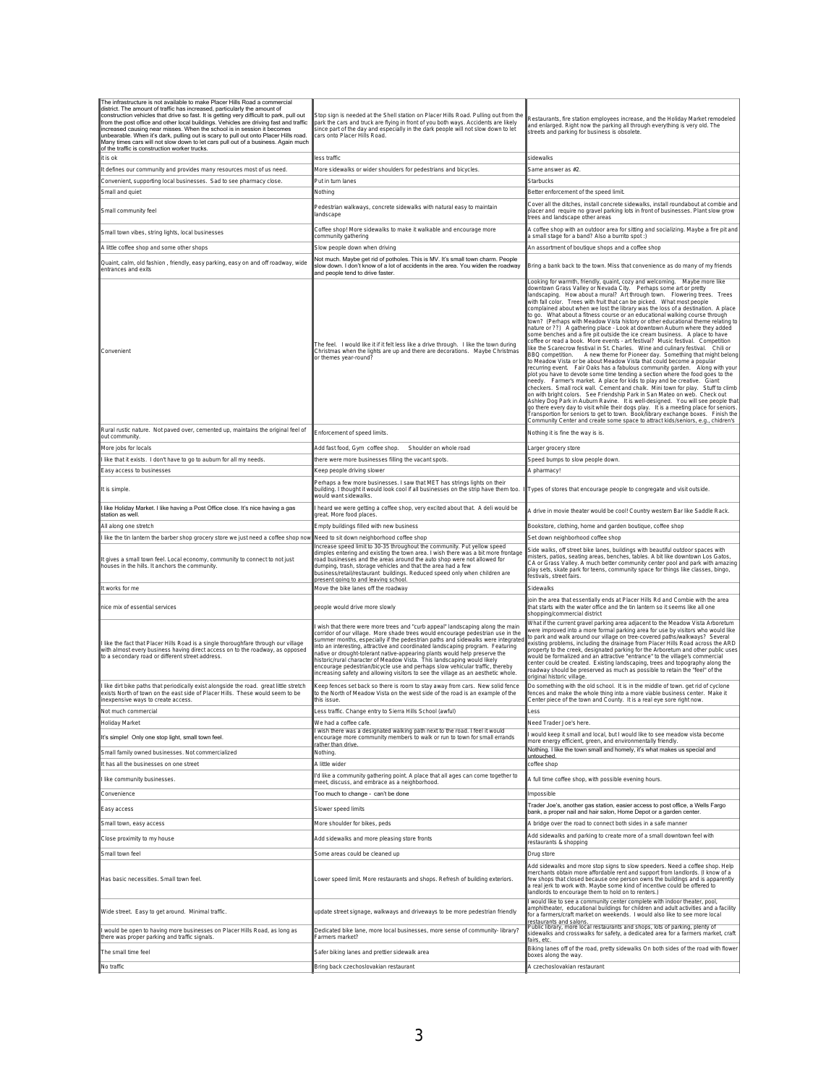| The infrastructure is not available to make Placer Hills Road a commercial<br>district. The amount of traffic has increased, particularly the amount of<br>construction vehicles that drive so fast. It is getting very difficult to park, pull out<br>rom the post office and other local buildings. Vehicles are driving fast and traffic<br>ncreased causing near misses. When the school is in session it becomes<br>unbearable. When it's dark, pulling out is scary to pull out onto Placer Hills road.<br>Many times cars will not slow down to let cars pull out of a business. Again much<br>of the traffic is construction worker trucks | Stop sign is needed at the Shell station on Placer Hills Road. Pulling out from the<br>oark the cars and truck are flying in front of you both ways. Accidents are likely<br>since part of the day and especially in the dark people will not slow down to let<br>cars onto Placer Hills Road.                                                                                                                                                                                                                                                                                                                                                                    | Restaurants, fire station employees increase, and the Holiday Market remodeled<br>and enlarged. Right now the parking all through everything is very old. The<br>streets and parking for business is obsolete.                                                                                                                                                                                                                                                                                                                                                                                                                                                                                                                                                                                                                                                                                                                                                                                                                                                                                                                                                                                                                                                                                                                                                                                                                                                                                                                                                                                                                                                                                                                                                                                                        |
|----------------------------------------------------------------------------------------------------------------------------------------------------------------------------------------------------------------------------------------------------------------------------------------------------------------------------------------------------------------------------------------------------------------------------------------------------------------------------------------------------------------------------------------------------------------------------------------------------------------------------------------------------|-------------------------------------------------------------------------------------------------------------------------------------------------------------------------------------------------------------------------------------------------------------------------------------------------------------------------------------------------------------------------------------------------------------------------------------------------------------------------------------------------------------------------------------------------------------------------------------------------------------------------------------------------------------------|-----------------------------------------------------------------------------------------------------------------------------------------------------------------------------------------------------------------------------------------------------------------------------------------------------------------------------------------------------------------------------------------------------------------------------------------------------------------------------------------------------------------------------------------------------------------------------------------------------------------------------------------------------------------------------------------------------------------------------------------------------------------------------------------------------------------------------------------------------------------------------------------------------------------------------------------------------------------------------------------------------------------------------------------------------------------------------------------------------------------------------------------------------------------------------------------------------------------------------------------------------------------------------------------------------------------------------------------------------------------------------------------------------------------------------------------------------------------------------------------------------------------------------------------------------------------------------------------------------------------------------------------------------------------------------------------------------------------------------------------------------------------------------------------------------------------------|
| t is ok                                                                                                                                                                                                                                                                                                                                                                                                                                                                                                                                                                                                                                            | less traffic                                                                                                                                                                                                                                                                                                                                                                                                                                                                                                                                                                                                                                                      | sidewalks                                                                                                                                                                                                                                                                                                                                                                                                                                                                                                                                                                                                                                                                                                                                                                                                                                                                                                                                                                                                                                                                                                                                                                                                                                                                                                                                                                                                                                                                                                                                                                                                                                                                                                                                                                                                             |
| It defines our community and provides many resources most of us need.                                                                                                                                                                                                                                                                                                                                                                                                                                                                                                                                                                              | More sidewalks or wider shoulders for pedestrians and bicycles                                                                                                                                                                                                                                                                                                                                                                                                                                                                                                                                                                                                    | Same answer as #2                                                                                                                                                                                                                                                                                                                                                                                                                                                                                                                                                                                                                                                                                                                                                                                                                                                                                                                                                                                                                                                                                                                                                                                                                                                                                                                                                                                                                                                                                                                                                                                                                                                                                                                                                                                                     |
| Convenient, supporting local businesses. Sad to see pharmacy close.<br>Small and quiet                                                                                                                                                                                                                                                                                                                                                                                                                                                                                                                                                             | Put in turn lanes<br>Nothing                                                                                                                                                                                                                                                                                                                                                                                                                                                                                                                                                                                                                                      | Starbucks<br>Better enforcement of the speed limit.                                                                                                                                                                                                                                                                                                                                                                                                                                                                                                                                                                                                                                                                                                                                                                                                                                                                                                                                                                                                                                                                                                                                                                                                                                                                                                                                                                                                                                                                                                                                                                                                                                                                                                                                                                   |
| Small community feel                                                                                                                                                                                                                                                                                                                                                                                                                                                                                                                                                                                                                               | Pedestrian walkways, concrete sidewalks with natural easy to maintain<br>landscape                                                                                                                                                                                                                                                                                                                                                                                                                                                                                                                                                                                | Cover all the ditches, install concrete sidewalks, install roundabout at combie and<br>placer and require no gravel parking lots in front of businesses. Plant slow grow<br>trees and landscape other areas                                                                                                                                                                                                                                                                                                                                                                                                                                                                                                                                                                                                                                                                                                                                                                                                                                                                                                                                                                                                                                                                                                                                                                                                                                                                                                                                                                                                                                                                                                                                                                                                           |
| Small town vibes, string lights, local businesses                                                                                                                                                                                                                                                                                                                                                                                                                                                                                                                                                                                                  | Coffee shop! More sidewalks to make it walkable and encourage more<br>community gathering                                                                                                                                                                                                                                                                                                                                                                                                                                                                                                                                                                         | A coffee shop with an outdoor area for sitting and socializing. Maybe a fire pit and<br>a small stage for a band? Also a burrito spot :)                                                                                                                                                                                                                                                                                                                                                                                                                                                                                                                                                                                                                                                                                                                                                                                                                                                                                                                                                                                                                                                                                                                                                                                                                                                                                                                                                                                                                                                                                                                                                                                                                                                                              |
| A little coffee shop and some other shops                                                                                                                                                                                                                                                                                                                                                                                                                                                                                                                                                                                                          | Slow people down when driving                                                                                                                                                                                                                                                                                                                                                                                                                                                                                                                                                                                                                                     | An assortment of boutique shops and a coffee shop                                                                                                                                                                                                                                                                                                                                                                                                                                                                                                                                                                                                                                                                                                                                                                                                                                                                                                                                                                                                                                                                                                                                                                                                                                                                                                                                                                                                                                                                                                                                                                                                                                                                                                                                                                     |
| Quaint, calm, old fashion, friendly, easy parking, easy on and off roadway, wide<br>entrances and exits                                                                                                                                                                                                                                                                                                                                                                                                                                                                                                                                            | Not much. Maybe get rid of potholes. This is MV. It's small town charm. People<br>slow down. I don't know of a lot of accidents in the area. You widen the roadway<br>and people tend to drive faster.                                                                                                                                                                                                                                                                                                                                                                                                                                                            | Bring a bank back to the town. Miss that convenience as do many of my friends                                                                                                                                                                                                                                                                                                                                                                                                                                                                                                                                                                                                                                                                                                                                                                                                                                                                                                                                                                                                                                                                                                                                                                                                                                                                                                                                                                                                                                                                                                                                                                                                                                                                                                                                         |
| Convenient                                                                                                                                                                                                                                                                                                                                                                                                                                                                                                                                                                                                                                         | The feel. I would like it if it felt less like a drive through. I like the town during<br>Christmas when the lights are up and there are decorations. Maybe Christmas<br>or themes year-round?                                                                                                                                                                                                                                                                                                                                                                                                                                                                    | Looking for warmth, friendly, quaint, cozy and welcoming.   Maybe more like<br>downtown Grass Valley or Nevada City. Perhaps some art or pretty<br> andscaping. How about a mural? Art through town. Flowering trees. Trees<br>with fall color. Trees with fruit that can be picked. What most people<br>complained about when we lost the library was the loss of a destination. A place<br>to go. What about a fitness course or an educational walking course through<br>town? (Perhaps with Meadow Vista history or other educational theme relating to<br>nature or ??) A gathering place - Look at downtown Auburn where they added<br>some benches and a fire pit outside the ice cream business. A place to have<br>coffee or read a book. More events - art festival? Music festival. Competition<br>like the Scarecrow festival in St. Charles. Wine and culinary festival. Chili or<br>A new theme for Pioneer day. Something that might belong<br>BBQ competition.<br>to Meadow Vista or be about Meadow Vista that could become a popular<br>recurring event. Fair Oaks has a fabulous community garden. Along with your<br>plot you have to devote some time tending a section where the food goes to the<br>needy. Farmer's market. A place for kids to play and be creative. Giant<br>checkers. Small rock wall. Cement and chalk. Mini town for play. Stuff to climb<br>on with bright colors. See Friendship Park in San Mateo on web. Check out<br>Ashley Dog Park in Auburn Ravine. It is well-designed. You will see people that<br>go there every day to visit while their dogs play. It is a meeting place for seniors.<br>Transportion for seniors to get to town. Book/library exchange boxes. Finish the<br>Community Center and create some space to attract kids/seniors, e.g., chidren's |
| Rural rustic nature. Not paved over, cemented up, maintains the original feel of<br>out community                                                                                                                                                                                                                                                                                                                                                                                                                                                                                                                                                  | Enforcement of speed limits.                                                                                                                                                                                                                                                                                                                                                                                                                                                                                                                                                                                                                                      | Nothing it is fine the way is is.                                                                                                                                                                                                                                                                                                                                                                                                                                                                                                                                                                                                                                                                                                                                                                                                                                                                                                                                                                                                                                                                                                                                                                                                                                                                                                                                                                                                                                                                                                                                                                                                                                                                                                                                                                                     |
| More jobs for locals                                                                                                                                                                                                                                                                                                                                                                                                                                                                                                                                                                                                                               | Add fast food, Gym coffee shop.<br>Shoulder on whole road                                                                                                                                                                                                                                                                                                                                                                                                                                                                                                                                                                                                         | Larger grocery store                                                                                                                                                                                                                                                                                                                                                                                                                                                                                                                                                                                                                                                                                                                                                                                                                                                                                                                                                                                                                                                                                                                                                                                                                                                                                                                                                                                                                                                                                                                                                                                                                                                                                                                                                                                                  |
| like that it exists. I don't have to go to auburn for all my needs.                                                                                                                                                                                                                                                                                                                                                                                                                                                                                                                                                                                | there were more businesses filling the vacant spots.                                                                                                                                                                                                                                                                                                                                                                                                                                                                                                                                                                                                              | Speed bumps to slow people down.                                                                                                                                                                                                                                                                                                                                                                                                                                                                                                                                                                                                                                                                                                                                                                                                                                                                                                                                                                                                                                                                                                                                                                                                                                                                                                                                                                                                                                                                                                                                                                                                                                                                                                                                                                                      |
| Easy access to businesses                                                                                                                                                                                                                                                                                                                                                                                                                                                                                                                                                                                                                          | <eep driving="" people="" slower<="" td=""><td>A pharmacy!</td></eep>                                                                                                                                                                                                                                                                                                                                                                                                                                                                                                                                                                                             | A pharmacy!                                                                                                                                                                                                                                                                                                                                                                                                                                                                                                                                                                                                                                                                                                                                                                                                                                                                                                                                                                                                                                                                                                                                                                                                                                                                                                                                                                                                                                                                                                                                                                                                                                                                                                                                                                                                           |
| It is simple                                                                                                                                                                                                                                                                                                                                                                                                                                                                                                                                                                                                                                       | Perhaps a few more businesses. I saw that MET has strings lights on their<br>building. I thought it would look cool if all businesses on the strip have them too.<br>would want sidewalks.                                                                                                                                                                                                                                                                                                                                                                                                                                                                        | Types of stores that encourage people to congregate and visit outside.                                                                                                                                                                                                                                                                                                                                                                                                                                                                                                                                                                                                                                                                                                                                                                                                                                                                                                                                                                                                                                                                                                                                                                                                                                                                                                                                                                                                                                                                                                                                                                                                                                                                                                                                                |
| like Holiday Market. I like having a Post Office close. It's nice having a gas<br>station as well                                                                                                                                                                                                                                                                                                                                                                                                                                                                                                                                                  | heard we were getting a coffee shop, very excited about that. A deli would be<br>preat. More food places                                                                                                                                                                                                                                                                                                                                                                                                                                                                                                                                                          | A drive in movie theater would be cool! Country western Bar like Saddle Rack.                                                                                                                                                                                                                                                                                                                                                                                                                                                                                                                                                                                                                                                                                                                                                                                                                                                                                                                                                                                                                                                                                                                                                                                                                                                                                                                                                                                                                                                                                                                                                                                                                                                                                                                                         |
| All along one stretch                                                                                                                                                                                                                                                                                                                                                                                                                                                                                                                                                                                                                              | Empty buildings filled with new business                                                                                                                                                                                                                                                                                                                                                                                                                                                                                                                                                                                                                          | Bookstore, clothing, home and garden boutique, coffee shop                                                                                                                                                                                                                                                                                                                                                                                                                                                                                                                                                                                                                                                                                                                                                                                                                                                                                                                                                                                                                                                                                                                                                                                                                                                                                                                                                                                                                                                                                                                                                                                                                                                                                                                                                            |
| like the tin lantern the barber shop grocery store we just need a coffee shop now                                                                                                                                                                                                                                                                                                                                                                                                                                                                                                                                                                  | Need to sit down neighborhood coffee shop                                                                                                                                                                                                                                                                                                                                                                                                                                                                                                                                                                                                                         | Set down neighborhood coffee shop                                                                                                                                                                                                                                                                                                                                                                                                                                                                                                                                                                                                                                                                                                                                                                                                                                                                                                                                                                                                                                                                                                                                                                                                                                                                                                                                                                                                                                                                                                                                                                                                                                                                                                                                                                                     |
| t gives a small town feel. Local economy, community to connect to not just<br>houses in the hills. It anchors the community.                                                                                                                                                                                                                                                                                                                                                                                                                                                                                                                       | ncrease speed limit to 30-35 throughout the community. Put yellow speed<br>dimples entering and existing the town area. I wish there was a bit more frontage<br>oad businesses and the areas around the auto shop were not allowed for<br>dumping, trash, storage vehicles and that the area had a few<br>business/retail/restaurant buildings. Reduced speed only when children are<br>present going to and leaving school.                                                                                                                                                                                                                                      | Side walks, off street bike lanes, buildings with beautiful outdoor spaces with<br>misters, patios, seating areas, benches, tables. A bit like downtown Los Gatos,<br>CA or Grass Valley. A much better community center pool and park with amazing<br>play sets, skate park for teens, community space for things like classes, bingo,<br>festivals, street fairs.                                                                                                                                                                                                                                                                                                                                                                                                                                                                                                                                                                                                                                                                                                                                                                                                                                                                                                                                                                                                                                                                                                                                                                                                                                                                                                                                                                                                                                                   |
| It works for me                                                                                                                                                                                                                                                                                                                                                                                                                                                                                                                                                                                                                                    | Move the bike lanes off the roadway                                                                                                                                                                                                                                                                                                                                                                                                                                                                                                                                                                                                                               | Sidewalks                                                                                                                                                                                                                                                                                                                                                                                                                                                                                                                                                                                                                                                                                                                                                                                                                                                                                                                                                                                                                                                                                                                                                                                                                                                                                                                                                                                                                                                                                                                                                                                                                                                                                                                                                                                                             |
| nice mix of essential services                                                                                                                                                                                                                                                                                                                                                                                                                                                                                                                                                                                                                     | people would drive more slowly                                                                                                                                                                                                                                                                                                                                                                                                                                                                                                                                                                                                                                    | join the area that essentially ends at Placer Hills Rd and Combie with the area<br>that starts with the water office and the tin lantern so it seems like all one<br>shopping/commercial district                                                                                                                                                                                                                                                                                                                                                                                                                                                                                                                                                                                                                                                                                                                                                                                                                                                                                                                                                                                                                                                                                                                                                                                                                                                                                                                                                                                                                                                                                                                                                                                                                     |
| like the fact that Placer Hills Road is a single thoroughfare through our village<br>with almost every business having direct access on to the roadway, as opposed<br>to a secondary road or different street address.                                                                                                                                                                                                                                                                                                                                                                                                                             | wish that there were more trees and "curb appeal" landscaping along the main<br>corridor of our village. More shade trees would encourage pedestrian use in the<br>summer months, especially if the pedestrian paths and sidewalks were integrated<br>nto an interesting, attractive and coordinated landscaping program. Featuring<br>native or drought-tolerant native-appearing plants would help preserve the<br>historic/rural character of Meadow Vista. This landscaping would likely<br>encourage pedestrian/bicycle use and perhaps slow vehicular traffic, thereby<br>increasing safety and allowing visitors to see the village as an aesthetic whole. | What if the current gravel parking area adjacent to the Meadow Vista Arboretum<br>were improved into a more formal parking area for use by visitors who would like<br>to park and walk around our village on tree-covered paths/walkways? Several<br>existing problems, including the drainage from Placer Hills Road across the ARD<br>property to the creek, designated parking for the Arboretum and other public uses<br>would be formalized and an attractive "entrance" to the village's commercial<br>center could be created. Existing landscaping, trees and topography along the<br>roadway should be preserved as much as possible to retain the "feel" of the<br>original historic village.                                                                                                                                                                                                                                                                                                                                                                                                                                                                                                                                                                                                                                                                                                                                                                                                                                                                                                                                                                                                                                                                                                               |
| like dirt bike paths that periodically exist alongside the road. great little stretch<br>exists North of town on the east side of Placer Hills. These would seem to be<br>inexpensive ways to create access.                                                                                                                                                                                                                                                                                                                                                                                                                                       | Keep fences set back so there is room to stay away from cars. New solid fence<br>to the North of Meadow Vista on the west side of the road is an example of the<br>this issue                                                                                                                                                                                                                                                                                                                                                                                                                                                                                     | Do something with the old school. It is in the middle of town. get rid of cyclone<br>fences and make the whole thing into a more viable business center. Make it<br>Center piece of the town and County. It is a real eye sore right now.                                                                                                                                                                                                                                                                                                                                                                                                                                                                                                                                                                                                                                                                                                                                                                                                                                                                                                                                                                                                                                                                                                                                                                                                                                                                                                                                                                                                                                                                                                                                                                             |
|                                                                                                                                                                                                                                                                                                                                                                                                                                                                                                                                                                                                                                                    | ffic. Change entry to Sierra Hills School (awful)                                                                                                                                                                                                                                                                                                                                                                                                                                                                                                                                                                                                                 |                                                                                                                                                                                                                                                                                                                                                                                                                                                                                                                                                                                                                                                                                                                                                                                                                                                                                                                                                                                                                                                                                                                                                                                                                                                                                                                                                                                                                                                                                                                                                                                                                                                                                                                                                                                                                       |
| Holiday Market                                                                                                                                                                                                                                                                                                                                                                                                                                                                                                                                                                                                                                     | We had a coffee cafe.<br>wish there was a designated walking path next to the road. I feel it would                                                                                                                                                                                                                                                                                                                                                                                                                                                                                                                                                               | Need Trader Joe's here.                                                                                                                                                                                                                                                                                                                                                                                                                                                                                                                                                                                                                                                                                                                                                                                                                                                                                                                                                                                                                                                                                                                                                                                                                                                                                                                                                                                                                                                                                                                                                                                                                                                                                                                                                                                               |
| It's simple! Only one stop light, small town feel.                                                                                                                                                                                                                                                                                                                                                                                                                                                                                                                                                                                                 | encourage more community members to walk or run to town for small errands<br>ather than drive.                                                                                                                                                                                                                                                                                                                                                                                                                                                                                                                                                                    | would keep it small and local, but I would like to see meadow vista become<br>more energy efficient, green, and environmentally friendly.<br>Nothing. I like the town small and homely, it's what makes us special and                                                                                                                                                                                                                                                                                                                                                                                                                                                                                                                                                                                                                                                                                                                                                                                                                                                                                                                                                                                                                                                                                                                                                                                                                                                                                                                                                                                                                                                                                                                                                                                                |
| Small family owned businesses. Not commercialized                                                                                                                                                                                                                                                                                                                                                                                                                                                                                                                                                                                                  | Nothing.                                                                                                                                                                                                                                                                                                                                                                                                                                                                                                                                                                                                                                                          | untouched                                                                                                                                                                                                                                                                                                                                                                                                                                                                                                                                                                                                                                                                                                                                                                                                                                                                                                                                                                                                                                                                                                                                                                                                                                                                                                                                                                                                                                                                                                                                                                                                                                                                                                                                                                                                             |
| It has all the businesses on one street                                                                                                                                                                                                                                                                                                                                                                                                                                                                                                                                                                                                            | A little wider<br>'d like a community gathering point. A place that all ages can come together to                                                                                                                                                                                                                                                                                                                                                                                                                                                                                                                                                                 | coffee shop                                                                                                                                                                                                                                                                                                                                                                                                                                                                                                                                                                                                                                                                                                                                                                                                                                                                                                                                                                                                                                                                                                                                                                                                                                                                                                                                                                                                                                                                                                                                                                                                                                                                                                                                                                                                           |
| I like community businesses<br>Convenience                                                                                                                                                                                                                                                                                                                                                                                                                                                                                                                                                                                                         | meet, discuss, and embrace as a neighborhood.                                                                                                                                                                                                                                                                                                                                                                                                                                                                                                                                                                                                                     | A full time coffee shop, with possible evening hours.<br>Impossible                                                                                                                                                                                                                                                                                                                                                                                                                                                                                                                                                                                                                                                                                                                                                                                                                                                                                                                                                                                                                                                                                                                                                                                                                                                                                                                                                                                                                                                                                                                                                                                                                                                                                                                                                   |
| Easy access                                                                                                                                                                                                                                                                                                                                                                                                                                                                                                                                                                                                                                        | Too much to change - can't be done<br>Slower speed limits                                                                                                                                                                                                                                                                                                                                                                                                                                                                                                                                                                                                         | Trader Joe's, another gas station, easier access to post office, a Wells Fargo<br>bank, a proper nail and hair salon, Home Depot or a garden center.                                                                                                                                                                                                                                                                                                                                                                                                                                                                                                                                                                                                                                                                                                                                                                                                                                                                                                                                                                                                                                                                                                                                                                                                                                                                                                                                                                                                                                                                                                                                                                                                                                                                  |
| Small town, easy access                                                                                                                                                                                                                                                                                                                                                                                                                                                                                                                                                                                                                            | More shoulder for bikes, peds                                                                                                                                                                                                                                                                                                                                                                                                                                                                                                                                                                                                                                     | A bridge over the road to connect both sides in a safe manner                                                                                                                                                                                                                                                                                                                                                                                                                                                                                                                                                                                                                                                                                                                                                                                                                                                                                                                                                                                                                                                                                                                                                                                                                                                                                                                                                                                                                                                                                                                                                                                                                                                                                                                                                         |
| Close proximity to my house                                                                                                                                                                                                                                                                                                                                                                                                                                                                                                                                                                                                                        | Add sidewalks and more pleasing store fronts                                                                                                                                                                                                                                                                                                                                                                                                                                                                                                                                                                                                                      | Add sidewalks and parking to create more of a small downtown feel with<br>restaurants & shopping                                                                                                                                                                                                                                                                                                                                                                                                                                                                                                                                                                                                                                                                                                                                                                                                                                                                                                                                                                                                                                                                                                                                                                                                                                                                                                                                                                                                                                                                                                                                                                                                                                                                                                                      |
| Small town feel                                                                                                                                                                                                                                                                                                                                                                                                                                                                                                                                                                                                                                    | Some areas could be cleaned up                                                                                                                                                                                                                                                                                                                                                                                                                                                                                                                                                                                                                                    | Drug store                                                                                                                                                                                                                                                                                                                                                                                                                                                                                                                                                                                                                                                                                                                                                                                                                                                                                                                                                                                                                                                                                                                                                                                                                                                                                                                                                                                                                                                                                                                                                                                                                                                                                                                                                                                                            |
| Has basic necessities. Small town feel.                                                                                                                                                                                                                                                                                                                                                                                                                                                                                                                                                                                                            | Lower speed limit. More restaurants and shops. Refresh of building exteriors.                                                                                                                                                                                                                                                                                                                                                                                                                                                                                                                                                                                     | Add sidewalks and more stop signs to slow speeders. Need a coffee shop. Help<br>merchants obtain more affordable rent and support from landlords. (I know of a<br>few shops that closed because one person owns the buildings and is apparently<br>a real jerk to work with. Maybe some kind of incentive could be offered to<br>landlords to encourage them to hold on to renters.)                                                                                                                                                                                                                                                                                                                                                                                                                                                                                                                                                                                                                                                                                                                                                                                                                                                                                                                                                                                                                                                                                                                                                                                                                                                                                                                                                                                                                                  |
| Wide street. Easy to get around. Minimal traffic.                                                                                                                                                                                                                                                                                                                                                                                                                                                                                                                                                                                                  | update street signage, walkways and driveways to be more pedestrian friendly                                                                                                                                                                                                                                                                                                                                                                                                                                                                                                                                                                                      | would like to see a community center complete with indoor theater, pool,<br>amphitheater, educational buildings for children and adult activities and a facility<br>for a farmers/craft market on weekends. I would also like to see more local<br>restaurants and salons.<br>Public library, more local restaurants and shops, lots of parking, plenty of                                                                                                                                                                                                                                                                                                                                                                                                                                                                                                                                                                                                                                                                                                                                                                                                                                                                                                                                                                                                                                                                                                                                                                                                                                                                                                                                                                                                                                                            |
| would be open to having more businesses on Placer Hills Road, as long as<br>there was proper parking and traffic signals.                                                                                                                                                                                                                                                                                                                                                                                                                                                                                                                          | Dedicated bike lane, more local businesses, more sense of community- library?<br>Farmers market?                                                                                                                                                                                                                                                                                                                                                                                                                                                                                                                                                                  | sidewalks and crosswalks for safety, a dedicated area for a farmers market, craft<br>fairs, etc                                                                                                                                                                                                                                                                                                                                                                                                                                                                                                                                                                                                                                                                                                                                                                                                                                                                                                                                                                                                                                                                                                                                                                                                                                                                                                                                                                                                                                                                                                                                                                                                                                                                                                                       |
| The small time feel                                                                                                                                                                                                                                                                                                                                                                                                                                                                                                                                                                                                                                | Safer biking lanes and prettier sidewalk area                                                                                                                                                                                                                                                                                                                                                                                                                                                                                                                                                                                                                     | Biking lanes off of the road, pretty sidewalks On both sides of the road with flower<br>boxes along the way.                                                                                                                                                                                                                                                                                                                                                                                                                                                                                                                                                                                                                                                                                                                                                                                                                                                                                                                                                                                                                                                                                                                                                                                                                                                                                                                                                                                                                                                                                                                                                                                                                                                                                                          |
| No traffic                                                                                                                                                                                                                                                                                                                                                                                                                                                                                                                                                                                                                                         | Bring back czechoslovakian restaurant                                                                                                                                                                                                                                                                                                                                                                                                                                                                                                                                                                                                                             | A czechoslovakian restaurant                                                                                                                                                                                                                                                                                                                                                                                                                                                                                                                                                                                                                                                                                                                                                                                                                                                                                                                                                                                                                                                                                                                                                                                                                                                                                                                                                                                                                                                                                                                                                                                                                                                                                                                                                                                          |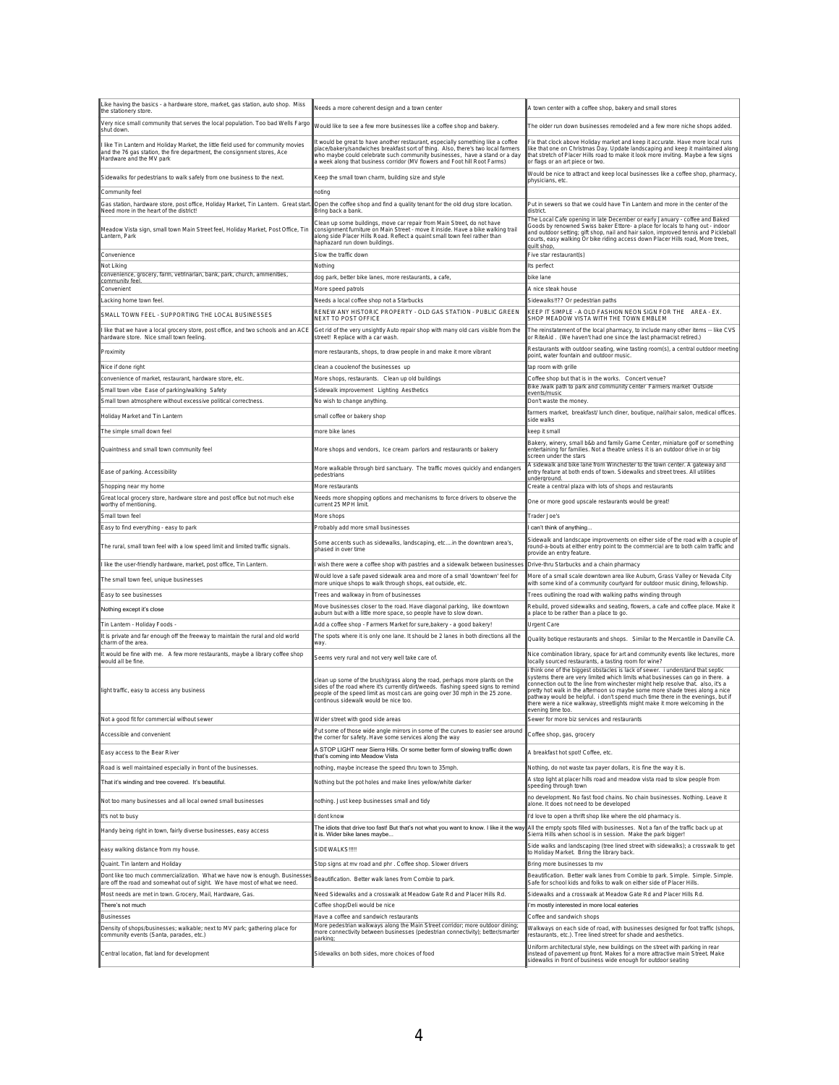| Like having the basics - a hardware store, market, gas station, auto shop. Miss<br>the stationery store.                                                                                  | Needs a more coherent design and a town center                                                                                                                                                                                                                                                                                 | A town center with a coffee shop, bakery and small stores                                                                                                                                                                                                                                                                                                                                                                                                                                                                   |
|-------------------------------------------------------------------------------------------------------------------------------------------------------------------------------------------|--------------------------------------------------------------------------------------------------------------------------------------------------------------------------------------------------------------------------------------------------------------------------------------------------------------------------------|-----------------------------------------------------------------------------------------------------------------------------------------------------------------------------------------------------------------------------------------------------------------------------------------------------------------------------------------------------------------------------------------------------------------------------------------------------------------------------------------------------------------------------|
| Very nice small community that serves the local population. Too bad Wells Fargo<br>shut down                                                                                              | Would like to see a few more businesses like a coffee shop and bakery.                                                                                                                                                                                                                                                         | The older run down businesses remodeled and a few more niche shops added.                                                                                                                                                                                                                                                                                                                                                                                                                                                   |
| I like Tin Lantern and Holiday Market, the little field used for community movies<br>and the 76 gas station, the fire department, the consignment stores, Ace<br>Hardware and the MV park | t would be great to have another restaurant, especially something like a coffee<br>place/bakery/sandwiches breakfast sort of thing. Also, there's two local farmers<br>who maybe could celebrate such community businesses, have a stand or a day<br>a week along that business corridor (MV flowers and Foot hill Root Farms) | Fix that clock above Holiday market and keep it accurate. Have more local runs<br>like that one on Christmas Day. Update landscaping and keep it maintained along<br>that stretch of Placer Hills road to make it look more inviting. Maybe a few signs<br>or flags or an art piece or two.                                                                                                                                                                                                                                 |
| Sidewalks for pedestrians to walk safely from one business to the next.                                                                                                                   | Keep the small town charm, building size and style                                                                                                                                                                                                                                                                             | Would be nice to attract and keep local businesses like a coffee shop, pharmacy<br>physicians, etc.                                                                                                                                                                                                                                                                                                                                                                                                                         |
| Community feel                                                                                                                                                                            | notina                                                                                                                                                                                                                                                                                                                         |                                                                                                                                                                                                                                                                                                                                                                                                                                                                                                                             |
| Gas station, hardware store, post office, Holiday Market, Tin Lantern. Great star<br>Need more in the heart of the district!                                                              | Open the coffee shop and find a quality tenant for the old drug store location.<br>Bring back a bank                                                                                                                                                                                                                           | Put in sewers so that we could have Tin Lantern and more in the center of the<br>district                                                                                                                                                                                                                                                                                                                                                                                                                                   |
| Meadow Vista sign, small town Main Street feel, Holiday Market, Post Office, Tin<br>Lantern, Park                                                                                         | Clean up some buildings, move car repair from Main Street, do not have<br>consignment furniture on Main Street - move it inside. Have a bike walking trail<br>along side Placer Hills Road. Reflect a quaint small town feel rather than<br>haphazard run down buildings.                                                      | The Local Cafe opening in late December or early January - coffee and Baked<br>Goods by renowned Swiss baker Ettore- a place for locals to hang out - indoor<br>and outdoor setting; gift shop, nail and hair salon, improved tennis and Pickleball<br>courts, easy walking Or bike riding access down Placer Hills road, More trees,<br>quilt shop,                                                                                                                                                                        |
| Convenience                                                                                                                                                                               | Slow the traffic down                                                                                                                                                                                                                                                                                                          | Five star restaurant(s)                                                                                                                                                                                                                                                                                                                                                                                                                                                                                                     |
| Not Liking<br>convenience, grocery, farm, vetrinarian, bank, park, church, ammenities,                                                                                                    | Nothing                                                                                                                                                                                                                                                                                                                        | Its perfect                                                                                                                                                                                                                                                                                                                                                                                                                                                                                                                 |
| community fee<br>Convenient                                                                                                                                                               | dog park, better bike lanes, more restaurants, a cafe,<br>More speed patrols                                                                                                                                                                                                                                                   | bike lane<br>A nice steak house                                                                                                                                                                                                                                                                                                                                                                                                                                                                                             |
| Lacking home town feel                                                                                                                                                                    | Needs a local coffee shop not a Starbucks                                                                                                                                                                                                                                                                                      | Sidewalks!!?? Or pedestrian paths                                                                                                                                                                                                                                                                                                                                                                                                                                                                                           |
| SMALL TOWN FEEL - SUPPORTING THE LOCAL BUSINESSES                                                                                                                                         | RENEW ANY HISTORIC PROPERTY - OLD GAS STATION - PUBLIC GREEN<br><b>NEXT TO POST OFFICE</b>                                                                                                                                                                                                                                     | KEEP IT SIMPLE - A OLD FASHION NEON SIGN FOR THE AREA - EX.<br>SHOP MEADOW VISTA WITH THE TOWN EMBLEM                                                                                                                                                                                                                                                                                                                                                                                                                       |
| I like that we have a local grocery store, post office, and two schools and an ACE                                                                                                        | Get rid of the very unsightly Auto repair shop with many old cars visible from the                                                                                                                                                                                                                                             | The reinstatement of the local pharmacy, to include many other items -- like CVS                                                                                                                                                                                                                                                                                                                                                                                                                                            |
| hardware store. Nice small town feeling<br>Proximity                                                                                                                                      | street! Replace with a car wash.<br>more restaurants, shops, to draw people in and make it more vibrant                                                                                                                                                                                                                        | or RiteAid. (We haven't had one since the last pharmacist retired.)<br>Restaurants with outdoor seating, wine tasting room(s), a central outdoor meeting                                                                                                                                                                                                                                                                                                                                                                    |
| Nice if done right                                                                                                                                                                        |                                                                                                                                                                                                                                                                                                                                | point, water fountain and outdoor music                                                                                                                                                                                                                                                                                                                                                                                                                                                                                     |
| convenience of market, restaurant, hardware store, etc                                                                                                                                    | clean a couolenof the businesses up<br>More shops, restaurants. Clean up old buildings                                                                                                                                                                                                                                         | tap room with grille<br>Coffee shop but that is in the works. Concert venue?                                                                                                                                                                                                                                                                                                                                                                                                                                                |
| Small town vibe Ease of parking/walking Safety                                                                                                                                            | Sidewalk improvement Lighting Aesthetics                                                                                                                                                                                                                                                                                       | Bike /walk path to park and community center Farmers market Outside<br>events/music                                                                                                                                                                                                                                                                                                                                                                                                                                         |
| Small town atmosphere without excessive political correctness                                                                                                                             | No wish to change anything.                                                                                                                                                                                                                                                                                                    | Don't waste the money.                                                                                                                                                                                                                                                                                                                                                                                                                                                                                                      |
| Holiday Market and Tin Lantern                                                                                                                                                            | small coffee or bakery shop                                                                                                                                                                                                                                                                                                    | farmers market, breakfast/ lunch diner, boutique, nail/hair salon, medical offices<br>side walks                                                                                                                                                                                                                                                                                                                                                                                                                            |
| The simple small down feel                                                                                                                                                                | more bike lanes                                                                                                                                                                                                                                                                                                                | keep it small                                                                                                                                                                                                                                                                                                                                                                                                                                                                                                               |
| Quaintness and small town community feel                                                                                                                                                  | More shops and vendors, Ice cream parlors and restaurants or bakery                                                                                                                                                                                                                                                            | Bakery, winery, small b&b and family Game Center, miniature golf or something<br>entertaining for families. Not a theatre unless it is an outdoor drive in or big<br>screen under the stars                                                                                                                                                                                                                                                                                                                                 |
| Ease of parking. Accessibility                                                                                                                                                            | More walkable through bird sanctuary. The traffic moves quickly and endangers<br>pedestrians                                                                                                                                                                                                                                   | A sidewalk and bike lane from Winchester to the town center. A gateway and<br>entry feature at both ends of town. Sidewalks and street trees. All utilities                                                                                                                                                                                                                                                                                                                                                                 |
| Shopping near my home                                                                                                                                                                     | More restaurants                                                                                                                                                                                                                                                                                                               | underground<br>Create a central plaza with lots of shops and restaurants                                                                                                                                                                                                                                                                                                                                                                                                                                                    |
| Great local grocery store, hardware store and post office but not much else<br>worthy of mentioning.                                                                                      | Needs more shopping options and mechanisms to force drivers to observe the<br>current 25 MPH limit.                                                                                                                                                                                                                            | One or more good upscale restaurants would be great!                                                                                                                                                                                                                                                                                                                                                                                                                                                                        |
| Small town feel                                                                                                                                                                           | More shops                                                                                                                                                                                                                                                                                                                     | Trader Joe's                                                                                                                                                                                                                                                                                                                                                                                                                                                                                                                |
| Easy to find everything - easy to park                                                                                                                                                    | Probably add more small businesses                                                                                                                                                                                                                                                                                             | I can't think of anything                                                                                                                                                                                                                                                                                                                                                                                                                                                                                                   |
| The rural, small town feel with a low speed limit and limited traffic signals.                                                                                                            | Some accents such as sidewalks, landscaping, etcin the downtown area's,<br>phased in over time                                                                                                                                                                                                                                 | Sidewalk and landscape improvements on either side of the road with a couple of<br>round-a-bouts at either entry point to the commercial are to both calm traffic and<br>provide an entry feature.                                                                                                                                                                                                                                                                                                                          |
| I like the user-friendly hardware, market, post office, Tin Lantern.                                                                                                                      | wish there were a coffee shop with pastries and a sidewalk between businesses                                                                                                                                                                                                                                                  | Drive-thru Starbucks and a chain pharmacy                                                                                                                                                                                                                                                                                                                                                                                                                                                                                   |
| The small town feel, unique businesses                                                                                                                                                    | Would love a safe paved sidewalk area and more of a small 'downtown' feel for<br>more unique shops to walk through shops, eat outside, etc.                                                                                                                                                                                    | More of a small scale downtown area like Auburn, Grass Valley or Nevada City<br>with some kind of a community courtyard for outdoor music dining, fellowship.                                                                                                                                                                                                                                                                                                                                                               |
| Easy to see businesses                                                                                                                                                                    | Trees and walkway in from of businesses                                                                                                                                                                                                                                                                                        | Trees outlining the road with walking paths winding through                                                                                                                                                                                                                                                                                                                                                                                                                                                                 |
| Nothing except it's close                                                                                                                                                                 | Move businesses closer to the road. Have diagonal parking, like downtown<br>auburn but with a little more space, so people have to slow down.                                                                                                                                                                                  | Rebuild, proved sidewalks and seating, flowers, a cafe and coffee place. Make it<br>a place to be rather than a place to go.                                                                                                                                                                                                                                                                                                                                                                                                |
| Tin Lantern - Holiday Foods -                                                                                                                                                             | Add a coffee shop - Farmers Market for sure,bakery - a good bakery!                                                                                                                                                                                                                                                            | Urgent Care                                                                                                                                                                                                                                                                                                                                                                                                                                                                                                                 |
| It is private and far enough off the freeway to maintain the rural and old world<br>charm of the area.                                                                                    | The spots where it is only one lane. It should be 2 lanes in both directions all the<br>way                                                                                                                                                                                                                                    | Quality botique restaurants and shops. Similar to the Mercantile in Danville CA.                                                                                                                                                                                                                                                                                                                                                                                                                                            |
| It would be fine with me. A few more restaurants, maybe a library coffee shop<br>would all be fine.                                                                                       | Seems very rural and not very well take care of.                                                                                                                                                                                                                                                                               | Nice combination library, space for art and community events like lectures, more<br>locally sourced restaurants, a tasting room for wine?                                                                                                                                                                                                                                                                                                                                                                                   |
| light traffic, easy to access any business                                                                                                                                                | clean up some of the brush/grass along the road, perhaps more plants on the<br>sides of the road where it's currently dirt/weeds. flashing speed signs to remind<br>people of the speed limit as most cars are going over 30 mph in the 25 zone.<br>continous sidewalk would be nice too.                                      | think one of the biggest obstacles is lack of sewer. i understand that septic<br>systems there are very limited which limits what businesses can go in there. a<br>connection out to the line from winchester might help resolve that. also, it's a<br>pretty hot walk in the afternoon so maybe some more shade trees along a nice<br>pathway would be helpful. i don't spend much time there in the evenings, but if<br>there were a nice walkway, streetlights might make it more welcoming in the<br>levenina time too. |
| Not a good fit for commercial without sewer                                                                                                                                               | Wider street with good side areas<br>Put some of those wide angle mirrors in some of the curves to easier see around                                                                                                                                                                                                           | Sewer for more biz services and restaurants                                                                                                                                                                                                                                                                                                                                                                                                                                                                                 |
| Accessible and convenient                                                                                                                                                                 | the corner for safety. Have some services along the way                                                                                                                                                                                                                                                                        | Coffee shop, gas, grocery                                                                                                                                                                                                                                                                                                                                                                                                                                                                                                   |
| Easy access to the Bear River                                                                                                                                                             | A STOP LIGHT near Sierra Hills. Or some better form of slowing traffic down<br>that's coming into Meadow Vista                                                                                                                                                                                                                 | A breakfast hot spot! Coffee, etc.                                                                                                                                                                                                                                                                                                                                                                                                                                                                                          |
| Road is well maintained especially in front of the businesses.                                                                                                                            | nothing, maybe increase the speed thru town to 35mph.                                                                                                                                                                                                                                                                          | Nothing, do not waste tax payer dollars, it is fine the way it is.                                                                                                                                                                                                                                                                                                                                                                                                                                                          |
| That it's winding and tree covered. It's beautiful.                                                                                                                                       | Nothing but the pot holes and make lines yellow/white darker                                                                                                                                                                                                                                                                   | A stop light at placer hills road and meadow vista road to slow people from<br>speeding through town                                                                                                                                                                                                                                                                                                                                                                                                                        |
| Not too many businesses and all local owned small businesses                                                                                                                              | nothing. Just keep businesses small and tidy                                                                                                                                                                                                                                                                                   | no development. No fast food chains. No chain businesses. Nothing. Leave it<br>alone. It does not need to be developed                                                                                                                                                                                                                                                                                                                                                                                                      |
| It's not to busy                                                                                                                                                                          | dont know                                                                                                                                                                                                                                                                                                                      | I'd love to open a thrift shop like where the old pharmacy is.                                                                                                                                                                                                                                                                                                                                                                                                                                                              |
| Handy being right in town, fairly diverse businesses, easy access                                                                                                                         | The idiots that drive too fast! But that's not what you want to know. I like it the way<br>it is. Wider bike lanes maybe                                                                                                                                                                                                       | All the empty spots filled with businesses. Not a fan of the traffic back up at<br>Sierra Hills when school is in session. Make the park bigger!                                                                                                                                                                                                                                                                                                                                                                            |
| easy walking distance from my house.                                                                                                                                                      | SIDEWALKS !!!!!                                                                                                                                                                                                                                                                                                                | Side walks and landscaping (tree lined street with sidewalks); a crosswalk to get<br>to Holiday Market. Bring the library back.                                                                                                                                                                                                                                                                                                                                                                                             |
| Quaint. Tin lantern and Holiday                                                                                                                                                           | Stop signs at mv road and phr. Coffee shop. Slower drivers                                                                                                                                                                                                                                                                     | Bring more businesses to mv                                                                                                                                                                                                                                                                                                                                                                                                                                                                                                 |
| Dont like too much commercialization. What we have now is enough. Businesse<br>are off the road and somewhat out of sight. We have most of what we need.                                  | Beautification. Better walk lanes from Combie to park.                                                                                                                                                                                                                                                                         | Beautification. Better walk lanes from Combie to park. Simple. Simple. Simple.<br>Safe for school kids and folks to walk on either side of Placer Hills.                                                                                                                                                                                                                                                                                                                                                                    |
| Most needs are met in town. Grocery, Mail, Hardware, Gas.                                                                                                                                 | Need Sidewalks and a crosswalk at Meadow Gate Rd and Placer Hills Rd.                                                                                                                                                                                                                                                          | Sidewalks and a crosswalk at Meadow Gate Rd and Placer Hills Rd.                                                                                                                                                                                                                                                                                                                                                                                                                                                            |
| There's not much                                                                                                                                                                          | Coffee shop/Deli would be nice                                                                                                                                                                                                                                                                                                 | I'm mostly interested in more local eateries                                                                                                                                                                                                                                                                                                                                                                                                                                                                                |
| Businesses                                                                                                                                                                                | Have a coffee and sandwich restaurants<br>More pedestrian walkways along the Main Street corridor; more outdoor dining;                                                                                                                                                                                                        | Coffee and sandwich shops                                                                                                                                                                                                                                                                                                                                                                                                                                                                                                   |
| Density of shops/businesses; walkable; next to MV park; gathering place for<br>community events (Santa, parades, etc.)                                                                    | more connectivity between businesses (pedestrian connectivity); better/smarter<br>parking                                                                                                                                                                                                                                      | Walkways on each side of road, with businesses designed for foot traffic (shops,<br>restaurants, etc.). Tree lined street for shade and aesthetics                                                                                                                                                                                                                                                                                                                                                                          |
| Central location, flat land for development                                                                                                                                               | Sidewalks on both sides, more choices of food                                                                                                                                                                                                                                                                                  | Uniform architectural style, new buildings on the street with parking in rear<br>instead of pavement up front. Makes for a more attractive main Street. Make<br>sidewalks in front of business wide enough for outdoor seating                                                                                                                                                                                                                                                                                              |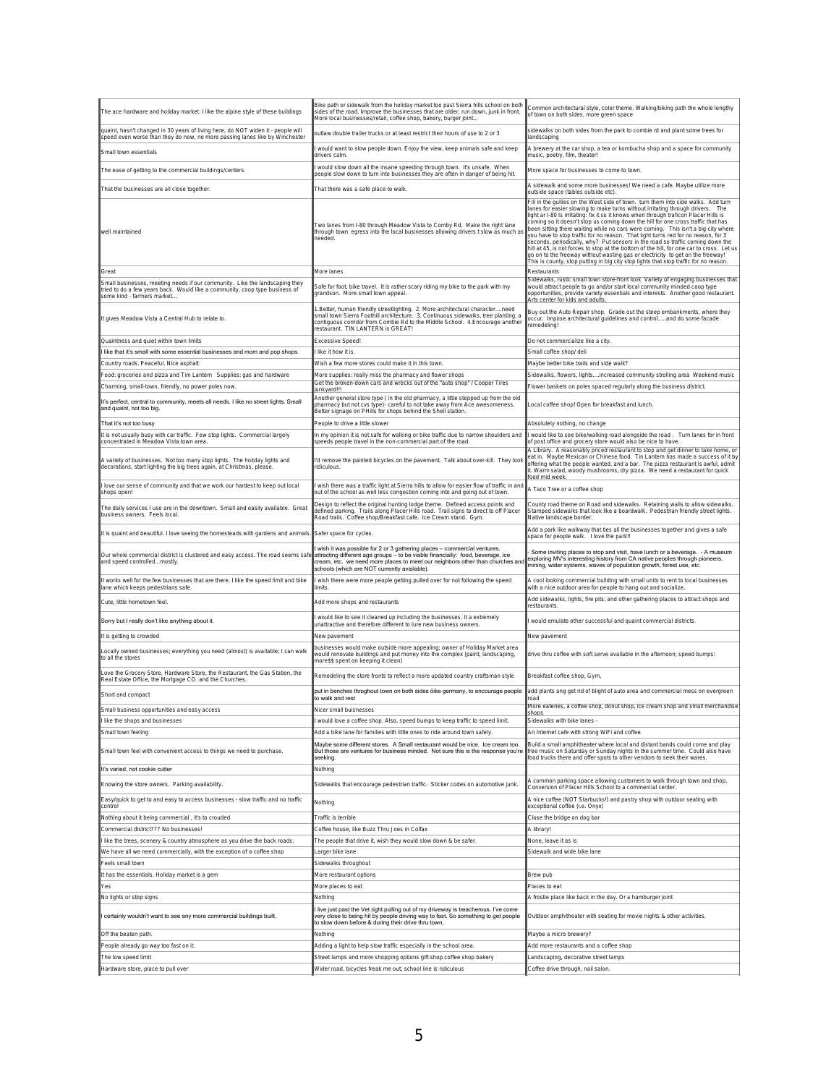| The ace hardware and holiday market. I like the alpine style of these buildings                                                                                                                | Bike path or sidewalk from the holiday market too past Sierra hills school on both<br>sides of the road. Improve the businesses that are older, run down, junk in front.<br>More local businesses/retail, coffee shop, bakery, burger joint                                              | Common architectural style, color theme. Walking/biking path the whole lengthy<br>of town on both sides, more green space                                                                                                                                                                                                                                                                                                                                                                                                                                                                                                                                                                                                                                                                                                                                                            |
|------------------------------------------------------------------------------------------------------------------------------------------------------------------------------------------------|------------------------------------------------------------------------------------------------------------------------------------------------------------------------------------------------------------------------------------------------------------------------------------------|--------------------------------------------------------------------------------------------------------------------------------------------------------------------------------------------------------------------------------------------------------------------------------------------------------------------------------------------------------------------------------------------------------------------------------------------------------------------------------------------------------------------------------------------------------------------------------------------------------------------------------------------------------------------------------------------------------------------------------------------------------------------------------------------------------------------------------------------------------------------------------------|
| quaint, hasn't changed in 30 years of living here, do NOT widen it - people will<br>speed even worse than they do now, no more passing lanes like by Winchester                                | outlaw double trailer trucks or at least restrict their hours of use to 2 or 3                                                                                                                                                                                                           | sidewalks on both sides from the park to combie rd and plant some trees for<br>landscaping                                                                                                                                                                                                                                                                                                                                                                                                                                                                                                                                                                                                                                                                                                                                                                                           |
| Small town essentials                                                                                                                                                                          | I would want to slow people down. Enjoy the view, keep animals safe and keep<br>drivers calm.                                                                                                                                                                                            | A brewery at the car shop, a tea or kombucha shop and a space for community<br>music, poetry, film, theater!                                                                                                                                                                                                                                                                                                                                                                                                                                                                                                                                                                                                                                                                                                                                                                         |
| The ease of getting to the commercial buildings/centers.                                                                                                                                       | would slow down all the insane speeding through town. It's unsafe. When<br>people slow down to turn into businesses they are often in danger of being hit.                                                                                                                               | More space for businesses to come to town.                                                                                                                                                                                                                                                                                                                                                                                                                                                                                                                                                                                                                                                                                                                                                                                                                                           |
| That the businesses are all close together.                                                                                                                                                    | That there was a safe place to walk.                                                                                                                                                                                                                                                     | A sidewalk and some more businesses! We need a cafe. Maybe utilize more<br>outside space (tables outside etc).                                                                                                                                                                                                                                                                                                                                                                                                                                                                                                                                                                                                                                                                                                                                                                       |
| well maintained                                                                                                                                                                                | Two lanes from I-80 through Meadow Vista to Comby Rd. Make the right lane<br>through town egress into the local businesses allowing drivers t slow as much as<br>needed                                                                                                                  | Fill in the gullies on the West side of town. turn them into side walks. Add turn<br>lanes for easier slowing to make turns without irritating through drivers.  The<br>ight ar I-80 Is irritating: fix it so it knows when through traficon Placer Hills is<br>coming so it doesn't stop us coming down the hill for one cross traffic that has<br>been sitting there waiting while no cars were coming. This isn't a big city where<br>you have to stop traffic for no reason. That light turns red for no reason, for 3<br>seconds, periodically, why? Put sensors in the road so traffic coming down the<br>hill at 45, is not forces to stop at the bottom of the hill, for one car to cross. Let us<br>go on to the freeway without wasting gas or electricity to get on the freeway!<br>This is county, stop putting in big city stop lights that stop traffic for no reason. |
| Great                                                                                                                                                                                          | More lanes                                                                                                                                                                                                                                                                               | Restaurants                                                                                                                                                                                                                                                                                                                                                                                                                                                                                                                                                                                                                                                                                                                                                                                                                                                                          |
| Small businesses, meeting needs if our community. Like the landscaping they<br>tried to do a few years back. Would like a community, coop type business of<br>some kind - farmers market.      | Safe for foot, bike travel. It is rather scary riding my bike to the park with my<br>grandson. More small town appeal.                                                                                                                                                                   | Sidewalks, rustic small town store-front look Variety of engaging businesses that<br>would attract people to go and/or start local community minded coop type<br>opportunities, provide variety essentials and interests. Another good restaurant.<br>Arts center for kids and adults.                                                                                                                                                                                                                                                                                                                                                                                                                                                                                                                                                                                               |
| It gives Meadow Vista a Central Hub to relate to.                                                                                                                                              | 1.Better, human friendly streetlighting. 2. More architectural characterneed<br>small town Sierra Foothill architecture. 3. Continuous sidewalks, tree planting, a<br>contiguous corridor from Combie Rd to the Middle School. 4. Encourage another<br>restaurant. TIN LANTERN is GREAT! | Buy out the Auto Repair shop. Grade out the steep embankments, where they<br>occur. Impose architectural guidelines and controland do some facade<br>remodeling!                                                                                                                                                                                                                                                                                                                                                                                                                                                                                                                                                                                                                                                                                                                     |
| Quaintness and quiet within town limits                                                                                                                                                        | Excessive Speed!                                                                                                                                                                                                                                                                         | Do not commercialize like a city.                                                                                                                                                                                                                                                                                                                                                                                                                                                                                                                                                                                                                                                                                                                                                                                                                                                    |
| I like that it's small with some essential businesses and mom and pop shops.                                                                                                                   | I like it how it is.                                                                                                                                                                                                                                                                     | Small coffee shop/ deli                                                                                                                                                                                                                                                                                                                                                                                                                                                                                                                                                                                                                                                                                                                                                                                                                                                              |
| Country roads. Peaceful. Nice asphalt                                                                                                                                                          | Wish a few more stores could make it in this town.                                                                                                                                                                                                                                       | Maybe better bike trails and side walk?                                                                                                                                                                                                                                                                                                                                                                                                                                                                                                                                                                                                                                                                                                                                                                                                                                              |
| Food: groceries and pizza and Tim Lantern Supplies: gas and hardware<br>Charming, small-town, friendly, no power poles now.                                                                    | More supplies: really miss the pharmacy and flower shops<br>Get the broken-down cars and wrecks out of the "auto shop" / Cooper Tires                                                                                                                                                    | Sidewalks, flowers, lightsincreased community strolling area Weekend music<br>Flower baskets on poles spaced regularly along the business district.                                                                                                                                                                                                                                                                                                                                                                                                                                                                                                                                                                                                                                                                                                                                  |
| It's perfect, central to community, meets all needs. I like no street lights. Small                                                                                                            | iunkvard!!!<br>Another general store type (in the old pharmacy, a little stepped up from the old                                                                                                                                                                                         |                                                                                                                                                                                                                                                                                                                                                                                                                                                                                                                                                                                                                                                                                                                                                                                                                                                                                      |
| and quaint, not too big.                                                                                                                                                                       | pharmacy but not cvs type)- careful to not take away from Ace awesomeness.<br>Better signage on PHills for shops behind the Shell station.                                                                                                                                               | Local coffee shop! Open for breakfast and lunch.                                                                                                                                                                                                                                                                                                                                                                                                                                                                                                                                                                                                                                                                                                                                                                                                                                     |
| That it's not too busy<br>It is not usually busy with car traffic. Few stop lights. Commercial largely                                                                                         | People to drive a little slower<br>In my opinion it is not safe for walking or bike traffic due to narrow shoulders and                                                                                                                                                                  | Absolutely nothing, no change                                                                                                                                                                                                                                                                                                                                                                                                                                                                                                                                                                                                                                                                                                                                                                                                                                                        |
| concentrated in Meadow Vista town area                                                                                                                                                         | speeds people travel in the non-commercial part of the road.                                                                                                                                                                                                                             | I would like to see bike/walking road alongside the road. Turn lanes for in front<br>of post office and grocery store would also be nice to have.                                                                                                                                                                                                                                                                                                                                                                                                                                                                                                                                                                                                                                                                                                                                    |
| A variety of businesses. Not too many stop lights. The holiday lights and<br>decorations, start lighting the big trees again, at Christmas, please.                                            | I'd remove the painted bicycles on the pavement. Talk about over-kill. They look<br>ridiculous                                                                                                                                                                                           | A Library. A reasonably priced restaurant to stop and get dinner to take home, or<br>eat in. Maybe Mexican or Chinese food. Tin Lantern has made a success of it by<br>offering what the people wanted, and a bar. The pizza restaurant is awful, admit<br>t. Warm salad, woody mushrooms, dry pizza. We need a restaurant for quick<br>ood mid week                                                                                                                                                                                                                                                                                                                                                                                                                                                                                                                                 |
| I love our sense of community and that we work our hardest to keep out local<br>shops open!                                                                                                    | wish there was a traffic light at Sierra hills to allow for easier flow of traffic in and<br>out of the school as well less congestion coming into and going out of town.                                                                                                                | A Taco Tree or a coffee shop                                                                                                                                                                                                                                                                                                                                                                                                                                                                                                                                                                                                                                                                                                                                                                                                                                                         |
| The daily services I use are in the downtown. Small and easily available. Great<br>business owners. Feels local.                                                                               | Design to reflect the original hunting lodge theme. Defined access points and<br>defined parking. Trails along Placer Hills road. Trail signs to direct to off Placer<br>Road trails. Coffee shop/Breakfast cafe. Ice Cream stand. Gym.                                                  | County road theme on Road and sidewalks. Retaining walls to allow sidewalks.<br>Stamped sidewalks that look like a boardwalk. Pedestrian friendly street lights.<br>Native landscape border.                                                                                                                                                                                                                                                                                                                                                                                                                                                                                                                                                                                                                                                                                         |
| It is quaint and beautiful. I love seeing the homesteads with gardens and animals.                                                                                                             | Safer space for cycles.                                                                                                                                                                                                                                                                  | Add a park like walkway that ties all the businesses together and gives a safe<br>space for people walk. I love the park!!                                                                                                                                                                                                                                                                                                                                                                                                                                                                                                                                                                                                                                                                                                                                                           |
|                                                                                                                                                                                                |                                                                                                                                                                                                                                                                                          |                                                                                                                                                                                                                                                                                                                                                                                                                                                                                                                                                                                                                                                                                                                                                                                                                                                                                      |
| Our whole commercial district is clustered and easy access. The road seems safe attracting different age groups - to be viable financially: food, beverage, ice<br>and speed controlledmostly. | wish it was possible for 2 or 3 gathering places - commercial ventures,<br>cream, etc. we need more places to meet our neighbors other than churches and<br>schools (which are NOT currently available)                                                                                  | Some inviting places to stop and visit, have lunch or a beverage. - A museum<br>exploring MV's interesting history from CA native peoples through pioneers,<br>mining, water systems, waves of population growth, forest use, etc.                                                                                                                                                                                                                                                                                                                                                                                                                                                                                                                                                                                                                                                   |
| It works well for the few businesses that are there. I like the speed limit and bike<br>lane which keeps pedestrians safe.                                                                     | wish there were more people getting pulled over for not following the speed<br>limits.                                                                                                                                                                                                   | A cool looking commercial building with small units to rent to local businesses<br>with a nice outdoor area for people to hang out and socialize.                                                                                                                                                                                                                                                                                                                                                                                                                                                                                                                                                                                                                                                                                                                                    |
| Cute. little hometown feel.                                                                                                                                                                    | Add more shops and restaurants                                                                                                                                                                                                                                                           | Add sidewalks, lights, fire pits, and other gathering places to attract shops and<br>estaurants.                                                                                                                                                                                                                                                                                                                                                                                                                                                                                                                                                                                                                                                                                                                                                                                     |
| Sorry but I really don't like anything about it.                                                                                                                                               | would like to see it cleaned up including the businesses. It a extremely<br>unattractive and therefore different to lure new business owners.                                                                                                                                            | I would emulate other successful and quaint commercial districts.                                                                                                                                                                                                                                                                                                                                                                                                                                                                                                                                                                                                                                                                                                                                                                                                                    |
| It is getting to crowded                                                                                                                                                                       | New pavement                                                                                                                                                                                                                                                                             | New pavement                                                                                                                                                                                                                                                                                                                                                                                                                                                                                                                                                                                                                                                                                                                                                                                                                                                                         |
| Locally owned businesses; everything you need (almost) is available; I can walk<br>to all the stores                                                                                           | businesses would make outside more appealing; owner of Holiday Market area<br>would renovate buildings and put money into the complex (paint, landscaping,<br>more\$\$ spent on keeping it clean)                                                                                        | drive thru coffee with soft serve available in the afternoon; speed bumps:                                                                                                                                                                                                                                                                                                                                                                                                                                                                                                                                                                                                                                                                                                                                                                                                           |
| Love the Grocery Store, Hardware Store, the Restaurant, the Gas Station, the<br>Real Estate Office, the Mortgage CO. and the Churches.                                                         | Remodeling the store fronts to reflect a more updated country craftsman style                                                                                                                                                                                                            | Breakfast coffee shop, Gym,                                                                                                                                                                                                                                                                                                                                                                                                                                                                                                                                                                                                                                                                                                                                                                                                                                                          |
| Short and compact                                                                                                                                                                              | put in benches throghout town on both sides öike germany, to encourage people<br>to walk and rest                                                                                                                                                                                        | add plants ang get rid of blight of auto area and commercial mess on evergreen<br>road                                                                                                                                                                                                                                                                                                                                                                                                                                                                                                                                                                                                                                                                                                                                                                                               |
| Small business opportunities and easy access                                                                                                                                                   | Nicer small buisnesses                                                                                                                                                                                                                                                                   | More eateries, a coffee shop, donut shop, ice cream shop and small merchandise                                                                                                                                                                                                                                                                                                                                                                                                                                                                                                                                                                                                                                                                                                                                                                                                       |
| I like the shops and businesses                                                                                                                                                                | would love a coffee shop. Also, speed bumps to keep traffic to speed limit.                                                                                                                                                                                                              | Sidewalks with bike lanes                                                                                                                                                                                                                                                                                                                                                                                                                                                                                                                                                                                                                                                                                                                                                                                                                                                            |
| Small town feeling<br>Small town feel with convenient access to things we need to purchase.                                                                                                    | Add a bike lane for families with little ones to ride around town safely.<br>Maybe some different stores. A Small restaurant would be nice. Ice cream too.<br>But those are ventures for business minded. Not sure this is the response you're<br>seeking                                | An Internet cafe with strong WiFi and coffee<br>Build a small amphitheater where local and distant bands could come and play<br>free music on Saturday or Sunday nights in the summer time. Could also have<br>food trucks there and offer spots to other vendors to seek their wares.                                                                                                                                                                                                                                                                                                                                                                                                                                                                                                                                                                                               |
| It's varied, not cookie cutter                                                                                                                                                                 |                                                                                                                                                                                                                                                                                          |                                                                                                                                                                                                                                                                                                                                                                                                                                                                                                                                                                                                                                                                                                                                                                                                                                                                                      |
| Knowing the store owners. Parking availability.                                                                                                                                                | Nothing<br>Sidewalks that encourage pedestrian traffic. Sticker codes on automotive junk.                                                                                                                                                                                                | A common parking space allowing customers to walk through town and shop.<br>Conversion of Placer Hills School to a commercial center.                                                                                                                                                                                                                                                                                                                                                                                                                                                                                                                                                                                                                                                                                                                                                |
| Easy/quick to get to and easy to access businesses - slow traffic and no traffic<br>control                                                                                                    | Nothing                                                                                                                                                                                                                                                                                  | A nice coffee (NOT Starbucks!) and pastry shop with outdoor seating with<br>exceptional coffee (i.e. Onyx)                                                                                                                                                                                                                                                                                                                                                                                                                                                                                                                                                                                                                                                                                                                                                                           |
| Nothing about it being commercial, it's to crouded                                                                                                                                             | Traffic is terrible                                                                                                                                                                                                                                                                      | Close the bridge on dog bar                                                                                                                                                                                                                                                                                                                                                                                                                                                                                                                                                                                                                                                                                                                                                                                                                                                          |
| Commercial district??? No businesses!                                                                                                                                                          | Coffee house, like Buzz Thru Joes in Colfax                                                                                                                                                                                                                                              | A library!                                                                                                                                                                                                                                                                                                                                                                                                                                                                                                                                                                                                                                                                                                                                                                                                                                                                           |
| I like the trees, scenery & country atmosphere as you drive the back roads.                                                                                                                    | The people that drive it, wish they would slow down & be safer.                                                                                                                                                                                                                          | None, leave it as is                                                                                                                                                                                                                                                                                                                                                                                                                                                                                                                                                                                                                                                                                                                                                                                                                                                                 |
| We have all we need commercially, with the exception of a coffee shop                                                                                                                          | arger bike lane                                                                                                                                                                                                                                                                          | Sidewalk and wide bike lane                                                                                                                                                                                                                                                                                                                                                                                                                                                                                                                                                                                                                                                                                                                                                                                                                                                          |
| Feels small town                                                                                                                                                                               | Sidewalks throughout<br>More restaurant options                                                                                                                                                                                                                                          |                                                                                                                                                                                                                                                                                                                                                                                                                                                                                                                                                                                                                                                                                                                                                                                                                                                                                      |
| It has the essentials. Holiday market is a gem<br>Yes                                                                                                                                          | More places to eat                                                                                                                                                                                                                                                                       | Brew pub<br>Places to eat                                                                                                                                                                                                                                                                                                                                                                                                                                                                                                                                                                                                                                                                                                                                                                                                                                                            |
| No lights or stop signs                                                                                                                                                                        | Nothing                                                                                                                                                                                                                                                                                  | A frostie place like back in the day. Or a hamburger joint                                                                                                                                                                                                                                                                                                                                                                                                                                                                                                                                                                                                                                                                                                                                                                                                                           |
| I certainly wouldn't want to see any more commercial buildings built.                                                                                                                          | I live just past the Vet right pulling out of my driveway is treacherous. I've come<br>very close to being hit by people driving way to fast. So something to get people<br>to slow down before & during their drive thru town,                                                          | Outdoor amphitheater with seating for movie nights & other activities.                                                                                                                                                                                                                                                                                                                                                                                                                                                                                                                                                                                                                                                                                                                                                                                                               |
| Off the beaten path.                                                                                                                                                                           | Nothing                                                                                                                                                                                                                                                                                  | Maybe a micro brewery?                                                                                                                                                                                                                                                                                                                                                                                                                                                                                                                                                                                                                                                                                                                                                                                                                                                               |
| People already go way too fast on it.                                                                                                                                                          | Adding a light to help slow traffic especially in the school area                                                                                                                                                                                                                        | Add more restaurants and a coffee shop                                                                                                                                                                                                                                                                                                                                                                                                                                                                                                                                                                                                                                                                                                                                                                                                                                               |
| The low speed limit<br>Hardware store, place to pull over                                                                                                                                      | Street lamps and more shopping options gift shop coffee shop bakery<br>Wider road, bicycles freak me out, school line is ridiculous                                                                                                                                                      | Landscaping, decorative street lamps<br>Coffee drive through, nail salon.                                                                                                                                                                                                                                                                                                                                                                                                                                                                                                                                                                                                                                                                                                                                                                                                            |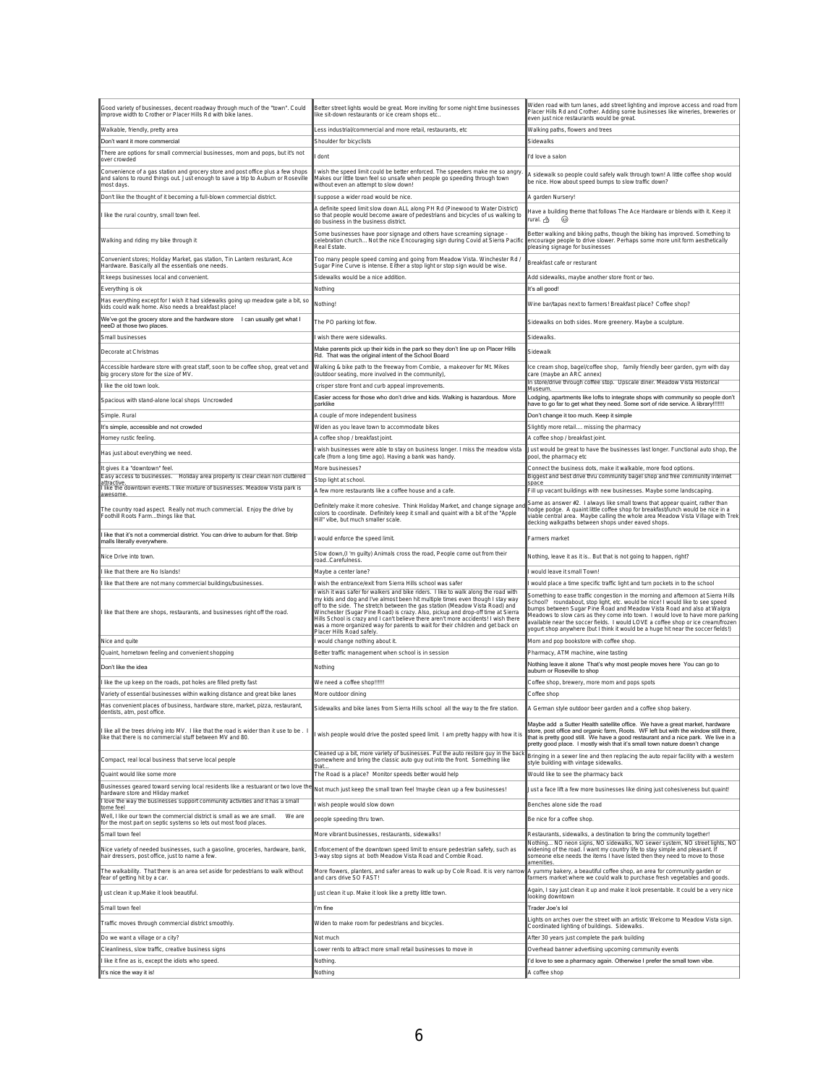| Good variety of businesses, decent roadway through much of the "town". Could<br>improve width to Crother or Placer Hills Rd with bike lanes.                                      | Better street lights would be great. More inviting for some night time businesses<br>like sit-down restaurants or ice cream shops etc                                                                                                                                                                                                                                                                                                                                                                                                        | Widen road with turn lanes, add street lighting and improve access and road from<br>Placer Hills Rd and Crother. Adding some businesses like wineries, breweries or<br>even just nice restaurants would be great.                                                                                                                                                                                                                                                                                       |
|-----------------------------------------------------------------------------------------------------------------------------------------------------------------------------------|----------------------------------------------------------------------------------------------------------------------------------------------------------------------------------------------------------------------------------------------------------------------------------------------------------------------------------------------------------------------------------------------------------------------------------------------------------------------------------------------------------------------------------------------|---------------------------------------------------------------------------------------------------------------------------------------------------------------------------------------------------------------------------------------------------------------------------------------------------------------------------------------------------------------------------------------------------------------------------------------------------------------------------------------------------------|
| Walkable, friendly, pretty area                                                                                                                                                   | Less industrial/commercial and more retail, restaurants, etc                                                                                                                                                                                                                                                                                                                                                                                                                                                                                 | Walking paths, flowers and trees                                                                                                                                                                                                                                                                                                                                                                                                                                                                        |
| Don't want it more commercial<br>There are options for small commercial businesses, mom and pops, but it's not                                                                    | Shoulder for bicyclists                                                                                                                                                                                                                                                                                                                                                                                                                                                                                                                      | Sidewalks                                                                                                                                                                                                                                                                                                                                                                                                                                                                                               |
| over crowded                                                                                                                                                                      | dont                                                                                                                                                                                                                                                                                                                                                                                                                                                                                                                                         | I'd love a salon                                                                                                                                                                                                                                                                                                                                                                                                                                                                                        |
| Convenience of a gas station and grocery store and post office plus a few shops<br>and salons to round things out. Just enough to save a trip to Auburn or Roseville<br>most days | wish the speed limit could be better enforced. The speeders make me so angry<br>Makes our little town feel so unsafe when people go speeding through town<br>without even an attempt to slow down!                                                                                                                                                                                                                                                                                                                                           | A sidewalk so people could safely walk through town! A little coffee shop would<br>be nice. How about speed bumps to slow traffic down?                                                                                                                                                                                                                                                                                                                                                                 |
| Don't like the thought of it becoming a full-blown commercial district.                                                                                                           | suppose a wider road would be nice.<br>A definite speed limit slow down ALL along PH Rd (Pinewood to Water District)                                                                                                                                                                                                                                                                                                                                                                                                                         | A garden Nursery!                                                                                                                                                                                                                                                                                                                                                                                                                                                                                       |
| I like the rural country, small town feel.                                                                                                                                        | so that people would become aware of pedestrians and bicycles of us walking to<br>do business in the business district.                                                                                                                                                                                                                                                                                                                                                                                                                      | Have a building theme that follows The Ace Hardware or blends with it. Keep it<br>rural. ტ}<br>63                                                                                                                                                                                                                                                                                                                                                                                                       |
| Walking and riding my bike through it                                                                                                                                             | Some businesses have poor signage and others have screaming signage -<br>celebration church Not the nice Encouraging sign during Covid at Sierra Pacific<br>Real Estate                                                                                                                                                                                                                                                                                                                                                                      | Better walking and biking paths, though the biking has improved. Something to<br>encourage people to drive slower. Perhaps some more unit form aesthetically<br>pleasing signage for businesses                                                                                                                                                                                                                                                                                                         |
| Convenient stores; Holiday Market, gas station, Tin Lantern resturant, Ace<br>Hardware. Basically all the essentials one needs.                                                   | Too many people speed coming and going from Meadow Vista. Winchester Rd /<br>Sugar Pine Curve is intense. Either a stop light or stop sign would be wise                                                                                                                                                                                                                                                                                                                                                                                     | Breakfast cafe or resturant                                                                                                                                                                                                                                                                                                                                                                                                                                                                             |
| It keeps businesses local and convenient.<br>Everything is ok                                                                                                                     | Sidewalks would be a nice addition<br>Nothing                                                                                                                                                                                                                                                                                                                                                                                                                                                                                                | Add sidewalks, maybe another store front or two.<br>lt's all good!                                                                                                                                                                                                                                                                                                                                                                                                                                      |
| Has everything except for I wish it had sidewalks going up meadow gate a bit, so<br>kids could walk home. Also needs a breakfast place!                                           | Nothing!                                                                                                                                                                                                                                                                                                                                                                                                                                                                                                                                     | Wine bar/tapas next to farmers! Breakfast place? Coffee shop?                                                                                                                                                                                                                                                                                                                                                                                                                                           |
| We've got the grocery store and the hardware store I can usually get what I                                                                                                       | The PO parking lot flow.                                                                                                                                                                                                                                                                                                                                                                                                                                                                                                                     | Sidewalks on both sides. More greenery. Maybe a sculpture.                                                                                                                                                                                                                                                                                                                                                                                                                                              |
| neeD at those two places.<br>Small businesses                                                                                                                                     | wish there were sidewalks.                                                                                                                                                                                                                                                                                                                                                                                                                                                                                                                   | Sidewalks.                                                                                                                                                                                                                                                                                                                                                                                                                                                                                              |
| Decorate at Christmas                                                                                                                                                             | Make parents pick up their kids in the park so they don't line up on Placer Hills                                                                                                                                                                                                                                                                                                                                                                                                                                                            | Sidewalk                                                                                                                                                                                                                                                                                                                                                                                                                                                                                                |
| Accessible hardware store with great staff, soon to be coffee shop, great vet and                                                                                                 | Rd. That was the original intent of the School Board                                                                                                                                                                                                                                                                                                                                                                                                                                                                                         |                                                                                                                                                                                                                                                                                                                                                                                                                                                                                                         |
| big grocery store for the size of MV.                                                                                                                                             | Walking & bike path to the freeway from Combie, a makeover for Mt. Mikes<br>(outdoor seating, more involved in the community),                                                                                                                                                                                                                                                                                                                                                                                                               | ice cream shop, bagel/coffee shop, family friendly beer garden, gym with day<br>care (maybe an ARC annex)<br>In store/drive through coffee stop. Upscale diner. Meadow Vista Historical                                                                                                                                                                                                                                                                                                                 |
| like the old town look                                                                                                                                                            | crisper store front and curb appeal improvements.                                                                                                                                                                                                                                                                                                                                                                                                                                                                                            | Museum                                                                                                                                                                                                                                                                                                                                                                                                                                                                                                  |
| Spacious with stand-alone local shops Uncrowded                                                                                                                                   | Easier access for those who don't drive and kids. Walking is hazardous. More<br>lparklike                                                                                                                                                                                                                                                                                                                                                                                                                                                    | Lodging, apartments like lofts to integrate shops with community so people don't<br>have to go far to get what they need. Some sort of ride service. A library !!!!!!!                                                                                                                                                                                                                                                                                                                                  |
| Simple. Rural                                                                                                                                                                     | A couple of more independent business                                                                                                                                                                                                                                                                                                                                                                                                                                                                                                        | Don't change it too much. Keep it simple                                                                                                                                                                                                                                                                                                                                                                                                                                                                |
| It's simple, accessible and not crowded                                                                                                                                           | Widen as you leave town to accommodate bikes                                                                                                                                                                                                                                                                                                                                                                                                                                                                                                 | Slightly more retail missing the pharmacy                                                                                                                                                                                                                                                                                                                                                                                                                                                               |
| Homey rustic feeling.                                                                                                                                                             | A coffee shop / breakfast joint.                                                                                                                                                                                                                                                                                                                                                                                                                                                                                                             | A coffee shop / breakfast joint.                                                                                                                                                                                                                                                                                                                                                                                                                                                                        |
| Has just about everything we need.                                                                                                                                                | wish businesses were able to stay on business longer. I miss the meadow vista<br>cafe (from a long time ago). Having a bank was handy.                                                                                                                                                                                                                                                                                                                                                                                                       | Just would be great to have the businesses last longer. Functional auto shop, the<br>pool, the pharmacy etc                                                                                                                                                                                                                                                                                                                                                                                             |
| It gives it a "downtown" feel.                                                                                                                                                    | More businesses?                                                                                                                                                                                                                                                                                                                                                                                                                                                                                                                             | Connect the business dots, make it walkable, more food options.                                                                                                                                                                                                                                                                                                                                                                                                                                         |
| Easy access to businesses.<br>Holiday area property is clear clean non cluttered<br>attractive.<br>  like the downtown events. I like mixture of businesses. Meadow Vista park is | Stop light at school.                                                                                                                                                                                                                                                                                                                                                                                                                                                                                                                        | Biggest and best drive thru community bagel shop and free community internet<br>space                                                                                                                                                                                                                                                                                                                                                                                                                   |
| awesome                                                                                                                                                                           | A few more restaurants like a coffee house and a cafe.                                                                                                                                                                                                                                                                                                                                                                                                                                                                                       | Fill up vacant buildings with new businesses. Maybe some landscaping.                                                                                                                                                                                                                                                                                                                                                                                                                                   |
| The country road aspect. Really not much commercial. Enjoy the drive by Foothill Roots Farmthings like that.                                                                      | Definitely make it more cohesive. Think Holiday Market, and change signage and<br>colors to coordinate. Definitely keep it small and quaint with a bit of the "Apple<br>Hill" vibe, but much smaller scale.                                                                                                                                                                                                                                                                                                                                  | Same as answer #2. I always like small towns that appear quaint, rather than<br>hodge podge. A quaint little coffee shop for breakfast/lunch would be nice in a<br>viable central area. Maybe calling the whole area Meadow Vista Village with Trek<br>decking walkpaths between shops under eaved shops.                                                                                                                                                                                               |
| I like that it's not a commercial district. You can drive to auburn for that. Strip<br>malls literally everywhere.                                                                | would enforce the speed limit.                                                                                                                                                                                                                                                                                                                                                                                                                                                                                                               | Farmers market                                                                                                                                                                                                                                                                                                                                                                                                                                                                                          |
| Nice Drive into town.                                                                                                                                                             | Slow down,(I 'm guilty) Animals cross the road, People come out from their<br>oadCarefulness                                                                                                                                                                                                                                                                                                                                                                                                                                                 | Nothing, leave it as it is But that is not going to happen, right?                                                                                                                                                                                                                                                                                                                                                                                                                                      |
| like that there are No Islands!                                                                                                                                                   | Maybe a center lane?                                                                                                                                                                                                                                                                                                                                                                                                                                                                                                                         | would leave it small Town!                                                                                                                                                                                                                                                                                                                                                                                                                                                                              |
| like that there are not many commercial buildings/businesses.                                                                                                                     | wish the entrance/exit from Sierra Hills school was safer                                                                                                                                                                                                                                                                                                                                                                                                                                                                                    | would place a time specific traffic light and turn pockets in to the school                                                                                                                                                                                                                                                                                                                                                                                                                             |
| I like that there are shops, restaurants, and businesses right off the road.                                                                                                      | wish it was safer for walkers and bike riders. I like to walk along the road with<br>my kids and dog and I've almost been hit multiple times even though I stay way<br>off to the side. The stretch between the gas station (Meadow Vista Road) and<br>Winchester (Sugar Pine Road) is crazy. Also, pickup and drop-off time at Sierra<br>Hills School is crazy and I can't believe there aren't more accidents! I wish there<br>was a more organized way for parents to wait for their children and get back on<br>Placer Hills Road safely | Something to ease traffic congestion in the morning and afternoon at Sierra Hills<br>School? roundabout, stop light, etc. would be nice! I would like to see speed<br>bumps between Sugar Pine Road and Meadow Vista Road and also at Walgra<br>Meadows to slow cars as they come into town. I would love to have more parking<br>available near the soccer fields. I would LOVE a coffee shop or ice cream/frozen<br>yogurt shop anywhere (but I think it would be a huge hit near the soccer fields!) |
| Nice and quite                                                                                                                                                                    | would change nothing about it.                                                                                                                                                                                                                                                                                                                                                                                                                                                                                                               | Mom and pop bookstore with coffee shop.                                                                                                                                                                                                                                                                                                                                                                                                                                                                 |
| Quaint, hometown feeling and convenient shopping                                                                                                                                  | Better traffic management when school is in session                                                                                                                                                                                                                                                                                                                                                                                                                                                                                          | Pharmacy, ATM machine, wine tasting                                                                                                                                                                                                                                                                                                                                                                                                                                                                     |
| Don't like the idea                                                                                                                                                               | Nothing                                                                                                                                                                                                                                                                                                                                                                                                                                                                                                                                      | Nothing leave it alone That's why most people moves here You can go to<br>auburn or Roseville to shop                                                                                                                                                                                                                                                                                                                                                                                                   |
| like the up keep on the roads, pot holes are filled pretty fast                                                                                                                   | We need a coffee shop!!!!!!                                                                                                                                                                                                                                                                                                                                                                                                                                                                                                                  | Coffee shop, brewery, more mom and pops spots                                                                                                                                                                                                                                                                                                                                                                                                                                                           |
| Variety of essential businesses within walking distance and great bike lanes                                                                                                      | More outdoor dining                                                                                                                                                                                                                                                                                                                                                                                                                                                                                                                          | Coffee shop                                                                                                                                                                                                                                                                                                                                                                                                                                                                                             |
| Has convenient places of business, hardware store, market, pizza, restaurant, dentists, atm, post office.                                                                         | Sidewalks and bike lanes from Sierra Hills school all the way to the fire station.                                                                                                                                                                                                                                                                                                                                                                                                                                                           | A German style outdoor beer garden and a coffee shop bakery.                                                                                                                                                                                                                                                                                                                                                                                                                                            |
| I like all the trees driving into MV. I like that the road is wider than it use to be. I<br>like that there is no commercial stuff between MV and 80.                             | wish people would drive the posted speed limit. I am pretty happy with how it is                                                                                                                                                                                                                                                                                                                                                                                                                                                             | Maybe add a Sutter Health satellite office. We have a great market, hardware<br>store, post office and organic farm, Roots. WF left but with the window still there,<br>that is pretty good still. We have a good restaurant and a nice park. We live in a<br>pretty good place. I mostly wish that it's small town nature doesn't change                                                                                                                                                               |
| Compact, real local business that serve local people                                                                                                                              | Cleaned up a bit, more variety of businesses. Put the auto restore guy in the bac<br>somewhere and bring the classic auto guy out into the front. Something like<br>that                                                                                                                                                                                                                                                                                                                                                                     | Bringing in a sewer line and then replacing the auto repair facility with a western<br>style building with vintage sidewalks.                                                                                                                                                                                                                                                                                                                                                                           |
| Quaint would like some more                                                                                                                                                       | The Road is a place? Monitor speeds better would help                                                                                                                                                                                                                                                                                                                                                                                                                                                                                        | Would like to see the pharmacy back                                                                                                                                                                                                                                                                                                                                                                                                                                                                     |
| Businesses geared toward serving local residents like a restuarant or two love th<br>hardware store and Hliday market                                                             | Not much just keep the small town feel !maybe clean up a few businesses!                                                                                                                                                                                                                                                                                                                                                                                                                                                                     | Just a face lift a few more businesses like dining just cohesiveness but quaint!                                                                                                                                                                                                                                                                                                                                                                                                                        |
| I love the way the businesses support community activities and it has a small<br>tome feel                                                                                        | wish people would slow down                                                                                                                                                                                                                                                                                                                                                                                                                                                                                                                  | Benches alone side the road                                                                                                                                                                                                                                                                                                                                                                                                                                                                             |
| Well, I like our town the commercial district is small as we are small.<br>We are<br>for the most part on septic systems so lets out most food places.                            | people speeding thru town.                                                                                                                                                                                                                                                                                                                                                                                                                                                                                                                   | Be nice for a coffee shop.                                                                                                                                                                                                                                                                                                                                                                                                                                                                              |
| Small town feel                                                                                                                                                                   | More vibrant businesses, restaurants, sidewalks!                                                                                                                                                                                                                                                                                                                                                                                                                                                                                             | Restaurants, sidewalks, a destination to bring the community together!                                                                                                                                                                                                                                                                                                                                                                                                                                  |
| Nice variety of needed businesses, such a gasoline, groceries, hardware, bank,<br>hair dressers, post office, just to name a few.                                                 | Enforcement of the downtown speed limit to ensure pedestrian safety, such as<br>3-way stop signs at both Meadow Vista Road and Combie Road.                                                                                                                                                                                                                                                                                                                                                                                                  | Nothing NO neon signs. NO sidewalks. NO sewer system. NO street lights. NO<br>widening of the road. I want my country life to stay simple and pleasant. If<br>someone else needs the items I have listed then they need to move to those<br>amenities                                                                                                                                                                                                                                                   |
| The walkability. That there is an area set aside for pedestrians to walk without<br>fear of getting hit by a car.                                                                 | More flowers, planters, and safer areas to walk up by Cole Road. It is very narrow<br>and cars drive SO FAST!                                                                                                                                                                                                                                                                                                                                                                                                                                | A yummy bakery, a beautiful coffee shop, an area for community garden or<br>farmers market where we could walk to purchase fresh vegetables and goods.                                                                                                                                                                                                                                                                                                                                                  |
| Just clean it up. Make it look beautiful.                                                                                                                                         | Just clean it up. Make it look like a pretty little town                                                                                                                                                                                                                                                                                                                                                                                                                                                                                     | Again, I say just clean it up and make it look presentable. It could be a very nice<br>looking downtown                                                                                                                                                                                                                                                                                                                                                                                                 |
| Small town feel                                                                                                                                                                   | I'm fine                                                                                                                                                                                                                                                                                                                                                                                                                                                                                                                                     | Trader Joe's lol                                                                                                                                                                                                                                                                                                                                                                                                                                                                                        |
| Traffic moves through commercial district smoothly.                                                                                                                               | Widen to make room for pedestrians and bicycles.                                                                                                                                                                                                                                                                                                                                                                                                                                                                                             | Lights on arches over the street with an artistic Welcome to Meadow Vista sign<br>Coordinated lighting of buildings. Sidewalks.                                                                                                                                                                                                                                                                                                                                                                         |
| Do we want a village or a city?                                                                                                                                                   | Not much                                                                                                                                                                                                                                                                                                                                                                                                                                                                                                                                     | After 30 years just complete the park building                                                                                                                                                                                                                                                                                                                                                                                                                                                          |
| Cleanliness, slow traffic, creative business signs                                                                                                                                | Lower rents to attract more small retail businesses to move in                                                                                                                                                                                                                                                                                                                                                                                                                                                                               | Overhead banner advertising upcoming community events                                                                                                                                                                                                                                                                                                                                                                                                                                                   |
| I like it fine as is, except the idiots who speed.                                                                                                                                | Nothing                                                                                                                                                                                                                                                                                                                                                                                                                                                                                                                                      | I'd love to see a pharmacy again. Otherwise I prefer the small town vibe.                                                                                                                                                                                                                                                                                                                                                                                                                               |
| It's nice the way it is!                                                                                                                                                          | Nothing                                                                                                                                                                                                                                                                                                                                                                                                                                                                                                                                      | A coffee shop                                                                                                                                                                                                                                                                                                                                                                                                                                                                                           |